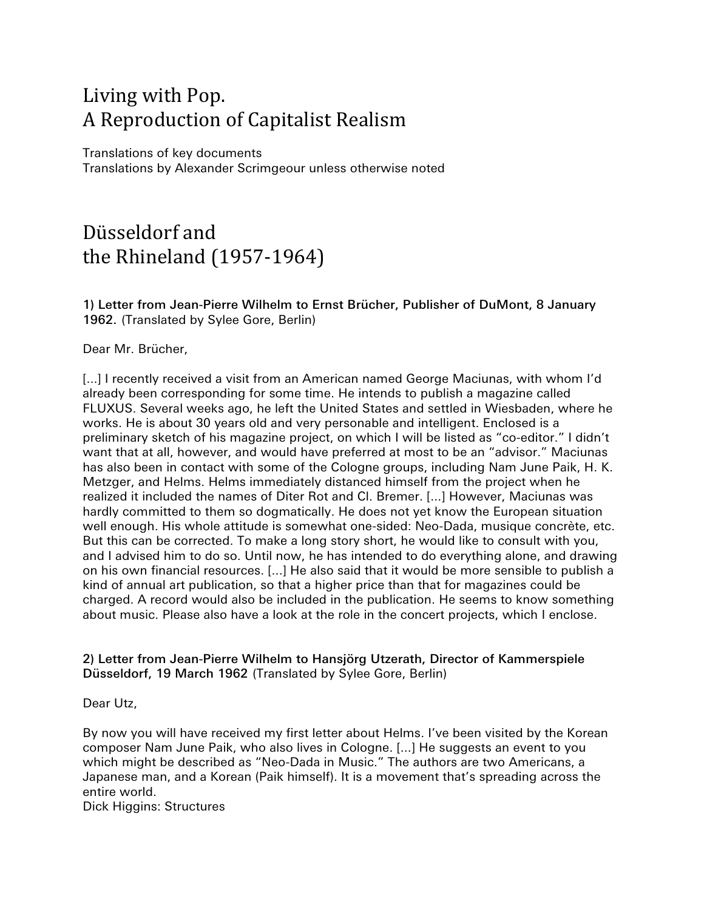# Living with Pop. A Reproduction of Capitalist Realism

Translations of key documents Translations by Alexander Scrimgeour unless otherwise noted

Düsseldorf and the Rhineland (1957-1964)

1) Letter from Jean-Pierre Wilhelm to Ernst Brücher, Publisher of DuMont, 8 January 1962. (Translated by Sylee Gore, Berlin)

Dear Mr. Brücher,

[...] I recently received a visit from an American named George Maciunas, with whom I'd already been corresponding for some time. He intends to publish a magazine called FLUXUS. Several weeks ago, he left the United States and settled in Wiesbaden, where he works. He is about 30 years old and very personable and intelligent. Enclosed is a preliminary sketch of his magazine project, on which I will be listed as "co-editor." I didn't want that at all, however, and would have preferred at most to be an "advisor." Maciunas has also been in contact with some of the Cologne groups, including Nam June Paik, H. K. Metzger, and Helms. Helms immediately distanced himself from the project when he realized it included the names of Diter Rot and Cl. Bremer. [...] However, Maciunas was hardly committed to them so dogmatically. He does not yet know the European situation well enough. His whole attitude is somewhat one-sided: Neo-Dada, musique concrète, etc. But this can be corrected. To make a long story short, he would like to consult with you, and I advised him to do so. Until now, he has intended to do everything alone, and drawing on his own financial resources. [...] He also said that it would be more sensible to publish a kind of annual art publication, so that a higher price than that for magazines could be charged. A record would also be included in the publication. He seems to know something about music. Please also have a look at the role in the concert projects, which I enclose.

2) Letter from Jean-Pierre Wilhelm to Hansjörg Utzerath, Director of Kammerspiele Düsseldorf, 19 March 1962 (Translated by Sylee Gore, Berlin)

Dear Utz,

By now you will have received my first letter about Helms. I've been visited by the Korean composer Nam June Paik, who also lives in Cologne. [...] He suggests an event to you which might be described as "Neo-Dada in Music." The authors are two Americans, a Japanese man, and a Korean (Paik himself). It is a movement that's spreading across the entire world.

Dick Higgins: Structures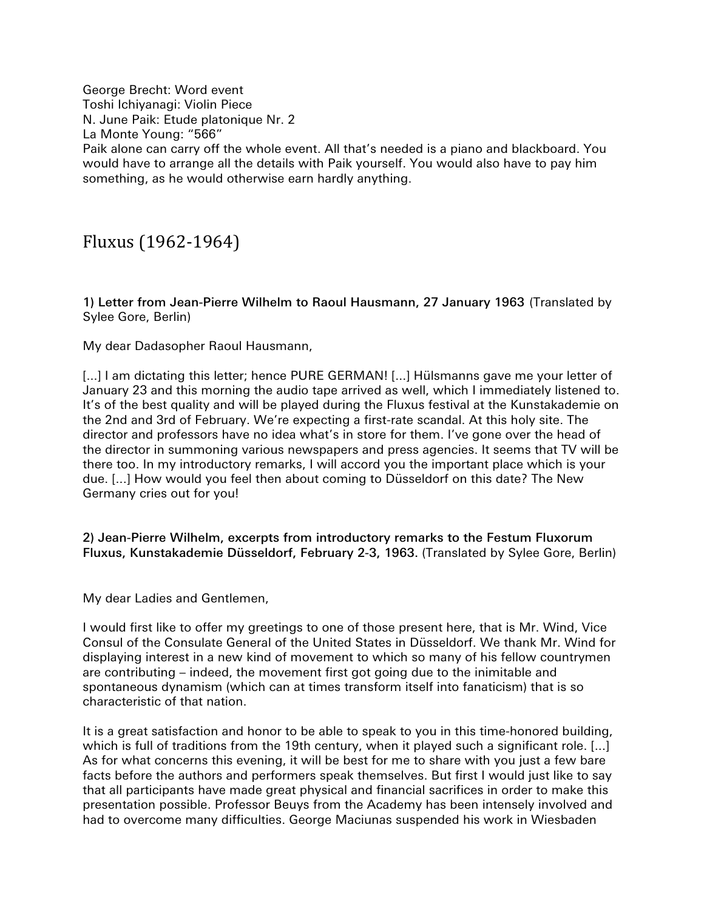George Brecht: Word event Toshi Ichiyanagi: Violin Piece N. June Paik: Etude platonique Nr. 2 La Monte Young: "566" Paik alone can carry off the whole event. All that's needed is a piano and blackboard. You would have to arrange all the details with Paik yourself. You would also have to pay him something, as he would otherwise earn hardly anything.

# Fluxus (1962-1964)

1) Letter from Jean-Pierre Wilhelm to Raoul Hausmann, 27 January 1963 (Translated by Sylee Gore, Berlin)

My dear Dadasopher Raoul Hausmann,

[...] I am dictating this letter; hence PURE GERMAN! [...] Hülsmanns gave me your letter of January 23 and this morning the audio tape arrived as well, which I immediately listened to. It's of the best quality and will be played during the Fluxus festival at the Kunstakademie on the 2nd and 3rd of February. We're expecting a first-rate scandal. At this holy site. The director and professors have no idea what's in store for them. I've gone over the head of the director in summoning various newspapers and press agencies. It seems that TV will be there too. In my introductory remarks, I will accord you the important place which is your due. [...] How would you feel then about coming to Düsseldorf on this date? The New Germany cries out for you!

2) Jean-Pierre Wilhelm, excerpts from introductory remarks to the Festum Fluxorum Fluxus, Kunstakademie Düsseldorf, February 2-3, 1963. (Translated by Sylee Gore, Berlin)

My dear Ladies and Gentlemen,

I would first like to offer my greetings to one of those present here, that is Mr. Wind, Vice Consul of the Consulate General of the United States in Düsseldorf. We thank Mr. Wind for displaying interest in a new kind of movement to which so many of his fellow countrymen are contributing – indeed, the movement first got going due to the inimitable and spontaneous dynamism (which can at times transform itself into fanaticism) that is so characteristic of that nation.

It is a great satisfaction and honor to be able to speak to you in this time-honored building, which is full of traditions from the 19th century, when it played such a significant role. [...] As for what concerns this evening, it will be best for me to share with you just a few bare facts before the authors and performers speak themselves. But first I would just like to say that all participants have made great physical and financial sacrifices in order to make this presentation possible. Professor Beuys from the Academy has been intensely involved and had to overcome many difficulties. George Maciunas suspended his work in Wiesbaden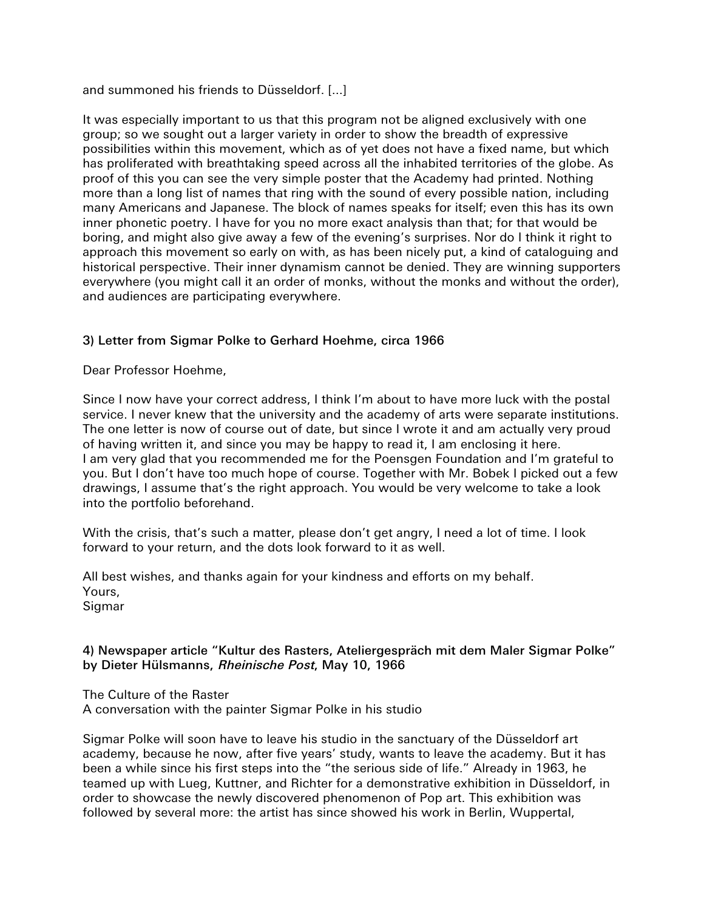and summoned his friends to Düsseldorf. [...]

It was especially important to us that this program not be aligned exclusively with one group; so we sought out a larger variety in order to show the breadth of expressive possibilities within this movement, which as of yet does not have a fixed name, but which has proliferated with breathtaking speed across all the inhabited territories of the globe. As proof of this you can see the very simple poster that the Academy had printed. Nothing more than a long list of names that ring with the sound of every possible nation, including many Americans and Japanese. The block of names speaks for itself; even this has its own inner phonetic poetry. I have for you no more exact analysis than that; for that would be boring, and might also give away a few of the evening's surprises. Nor do I think it right to approach this movement so early on with, as has been nicely put, a kind of cataloguing and historical perspective. Their inner dynamism cannot be denied. They are winning supporters everywhere (you might call it an order of monks, without the monks and without the order), and audiences are participating everywhere.

## 3) Letter from Sigmar Polke to Gerhard Hoehme, circa 1966

Dear Professor Hoehme,

Since I now have your correct address, I think I'm about to have more luck with the postal service. I never knew that the university and the academy of arts were separate institutions. The one letter is now of course out of date, but since I wrote it and am actually very proud of having written it, and since you may be happy to read it, I am enclosing it here. I am very glad that you recommended me for the Poensgen Foundation and I'm grateful to you. But I don't have too much hope of course. Together with Mr. Bobek I picked out a few drawings, I assume that's the right approach. You would be very welcome to take a look into the portfolio beforehand.

With the crisis, that's such a matter, please don't get angry, I need a lot of time. I look forward to your return, and the dots look forward to it as well.

All best wishes, and thanks again for your kindness and efforts on my behalf. Yours, Sigmar

#### 4) Newspaper article "Kultur des Rasters, Ateliergespräch mit dem Maler Sigmar Polke" by Dieter Hülsmanns, Rheinische Post, May 10, 1966

The Culture of the Raster A conversation with the painter Sigmar Polke in his studio

Sigmar Polke will soon have to leave his studio in the sanctuary of the Düsseldorf art academy, because he now, after five years' study, wants to leave the academy. But it has been a while since his first steps into the "the serious side of life." Already in 1963, he teamed up with Lueg, Kuttner, and Richter for a demonstrative exhibition in Düsseldorf, in order to showcase the newly discovered phenomenon of Pop art. This exhibition was followed by several more: the artist has since showed his work in Berlin, Wuppertal,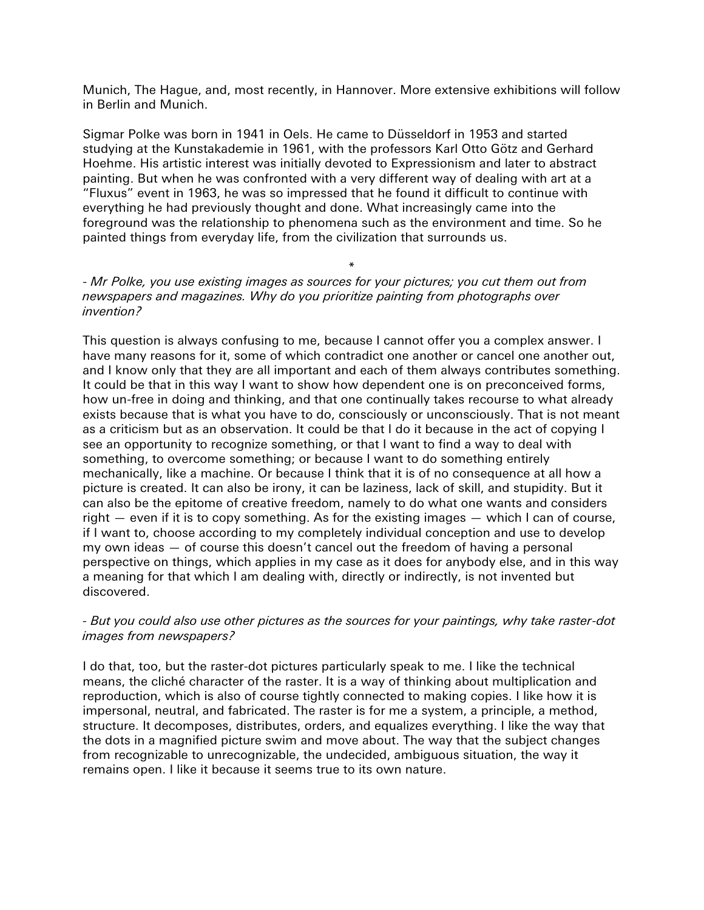Munich, The Hague, and, most recently, in Hannover. More extensive exhibitions will follow in Berlin and Munich.

Sigmar Polke was born in 1941 in Oels. He came to Düsseldorf in 1953 and started studying at the Kunstakademie in 1961, with the professors Karl Otto Götz and Gerhard Hoehme. His artistic interest was initially devoted to Expressionism and later to abstract painting. But when he was confronted with a very different way of dealing with art at a "Fluxus" event in 1963, he was so impressed that he found it difficult to continue with everything he had previously thought and done. What increasingly came into the foreground was the relationship to phenomena such as the environment and time. So he painted things from everyday life, from the civilization that surrounds us.

\* - *Mr Polke, you use existing images as sources for your pictures; you cut them out from newspapers and magazines. Why do you prioritize painting from photographs over invention?*

This question is always confusing to me, because I cannot offer you a complex answer. I have many reasons for it, some of which contradict one another or cancel one another out, and I know only that they are all important and each of them always contributes something. It could be that in this way I want to show how dependent one is on preconceived forms, how un-free in doing and thinking, and that one continually takes recourse to what already exists because that is what you have to do, consciously or unconsciously. That is not meant as a criticism but as an observation. It could be that I do it because in the act of copying I see an opportunity to recognize something, or that I want to find a way to deal with something, to overcome something; or because I want to do something entirely mechanically, like a machine. Or because I think that it is of no consequence at all how a picture is created. It can also be irony, it can be laziness, lack of skill, and stupidity. But it can also be the epitome of creative freedom, namely to do what one wants and considers right — even if it is to copy something. As for the existing images — which I can of course, if I want to, choose according to my completely individual conception and use to develop my own ideas — of course this doesn't cancel out the freedom of having a personal perspective on things, which applies in my case as it does for anybody else, and in this way a meaning for that which I am dealing with, directly or indirectly, is not invented but discovered.

*- But you could also use other pictures as the sources for your paintings, why take raster-dot images from newspapers?*

I do that, too, but the raster-dot pictures particularly speak to me. I like the technical means, the cliché character of the raster. It is a way of thinking about multiplication and reproduction, which is also of course tightly connected to making copies. I like how it is impersonal, neutral, and fabricated. The raster is for me a system, a principle, a method, structure. It decomposes, distributes, orders, and equalizes everything. I like the way that the dots in a magnified picture swim and move about. The way that the subject changes from recognizable to unrecognizable, the undecided, ambiguous situation, the way it remains open. I like it because it seems true to its own nature.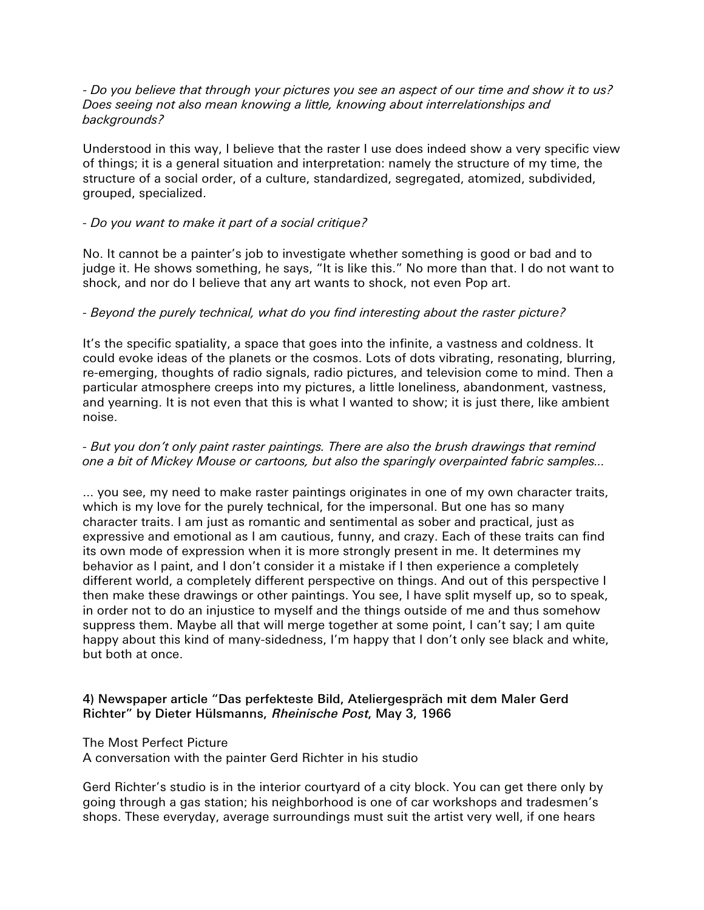#### - *Do you believe that through your pictures you see an aspect of our time and show it to us? Does seeing not also mean knowing a little, knowing about interrelationships and backgrounds?*

Understood in this way, I believe that the raster I use does indeed show a very specific view of things; it is a general situation and interpretation: namely the structure of my time, the structure of a social order, of a culture, standardized, segregated, atomized, subdivided, grouped, specialized.

#### *- Do you want to make it part of a social critique?*

No. It cannot be a painter's job to investigate whether something is good or bad and to judge it. He shows something, he says, "It is like this." No more than that. I do not want to shock, and nor do I believe that any art wants to shock, not even Pop art.

#### *- Beyond the purely technical, what do you find interesting about the raster picture?*

It's the specific spatiality, a space that goes into the infinite, a vastness and coldness. It could evoke ideas of the planets or the cosmos. Lots of dots vibrating, resonating, blurring, re-emerging, thoughts of radio signals, radio pictures, and television come to mind. Then a particular atmosphere creeps into my pictures, a little loneliness, abandonment, vastness, and yearning. It is not even that this is what I wanted to show; it is just there, like ambient noise.

#### *- But you don't only paint raster paintings. There are also the brush drawings that remind one a bit of Mickey Mouse or cartoons, but also the sparingly overpainted fabric samples...*

... you see, my need to make raster paintings originates in one of my own character traits, which is my love for the purely technical, for the impersonal. But one has so many character traits. I am just as romantic and sentimental as sober and practical, just as expressive and emotional as I am cautious, funny, and crazy. Each of these traits can find its own mode of expression when it is more strongly present in me. It determines my behavior as I paint, and I don't consider it a mistake if I then experience a completely different world, a completely different perspective on things. And out of this perspective I then make these drawings or other paintings. You see, I have split myself up, so to speak, in order not to do an injustice to myself and the things outside of me and thus somehow suppress them. Maybe all that will merge together at some point, I can't say; I am quite happy about this kind of many-sidedness, I'm happy that I don't only see black and white, but both at once.

#### 4) Newspaper article "Das perfekteste Bild, Ateliergespräch mit dem Maler Gerd Richter" by Dieter Hülsmanns, Rheinische Post, May 3, 1966

#### The Most Perfect Picture

A conversation with the painter Gerd Richter in his studio

Gerd Richter's studio is in the interior courtyard of a city block. You can get there only by going through a gas station; his neighborhood is one of car workshops and tradesmen's shops. These everyday, average surroundings must suit the artist very well, if one hears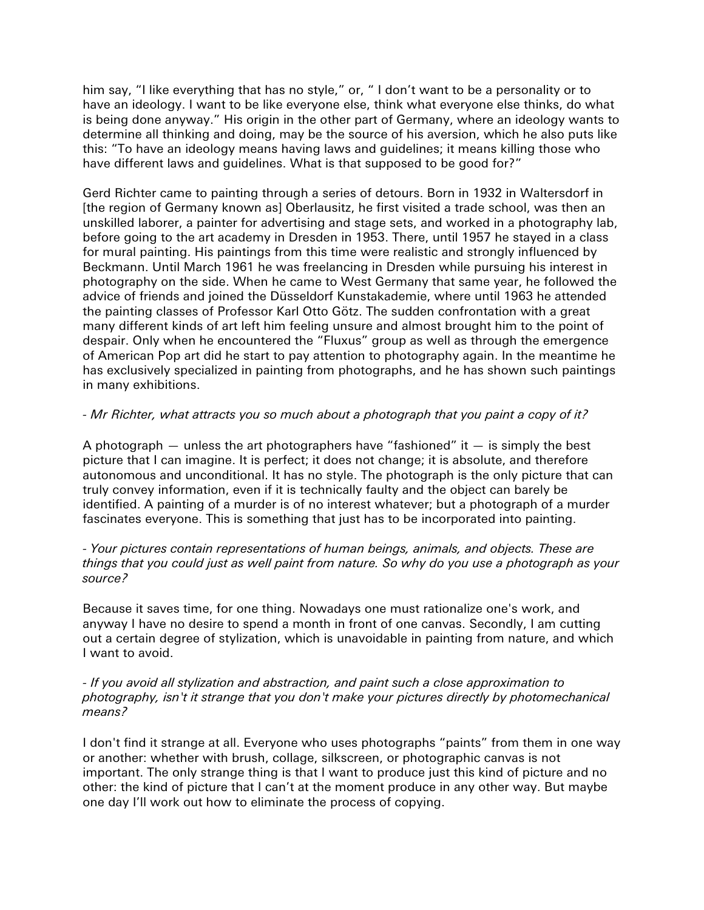him say, "I like everything that has no style," or, "I don't want to be a personality or to have an ideology. I want to be like everyone else, think what everyone else thinks, do what is being done anyway." His origin in the other part of Germany, where an ideology wants to determine all thinking and doing, may be the source of his aversion, which he also puts like this: "To have an ideology means having laws and guidelines; it means killing those who have different laws and guidelines. What is that supposed to be good for?"

Gerd Richter came to painting through a series of detours. Born in 1932 in Waltersdorf in [the region of Germany known as] Oberlausitz, he first visited a trade school, was then an unskilled laborer, a painter for advertising and stage sets, and worked in a photography lab, before going to the art academy in Dresden in 1953. There, until 1957 he stayed in a class for mural painting. His paintings from this time were realistic and strongly influenced by Beckmann. Until March 1961 he was freelancing in Dresden while pursuing his interest in photography on the side. When he came to West Germany that same year, he followed the advice of friends and joined the Düsseldorf Kunstakademie, where until 1963 he attended the painting classes of Professor Karl Otto Götz. The sudden confrontation with a great many different kinds of art left him feeling unsure and almost brought him to the point of despair. Only when he encountered the "Fluxus" group as well as through the emergence of American Pop art did he start to pay attention to photography again. In the meantime he has exclusively specialized in painting from photographs, and he has shown such paintings in many exhibitions.

## *- Mr Richter, what attracts you so much about a photograph that you paint a copy of it?*

A photograph  $-$  unless the art photographers have "fashioned" it  $-$  is simply the best picture that I can imagine. It is perfect; it does not change; it is absolute, and therefore autonomous and unconditional. It has no style. The photograph is the only picture that can truly convey information, even if it is technically faulty and the object can barely be identified. A painting of a murder is of no interest whatever; but a photograph of a murder fascinates everyone. This is something that just has to be incorporated into painting.

*- Your pictures contain representations of human beings, animals, and objects. These are things that you could just as well paint from nature. So why do you use a photograph as your source?*

Because it saves time, for one thing. Nowadays one must rationalize one's work, and anyway I have no desire to spend a month in front of one canvas. Secondly, I am cutting out a certain degree of stylization, which is unavoidable in painting from nature, and which I want to avoid.

#### *- If you avoid all stylization and abstraction, and paint such a close approximation to photography, isn't it strange that you don't make your pictures directly by photomechanical means?*

I don't find it strange at all. Everyone who uses photographs "paints" from them in one way or another: whether with brush, collage, silkscreen, or photographic canvas is not important. The only strange thing is that I want to produce just this kind of picture and no other: the kind of picture that I can't at the moment produce in any other way. But maybe one day I'll work out how to eliminate the process of copying.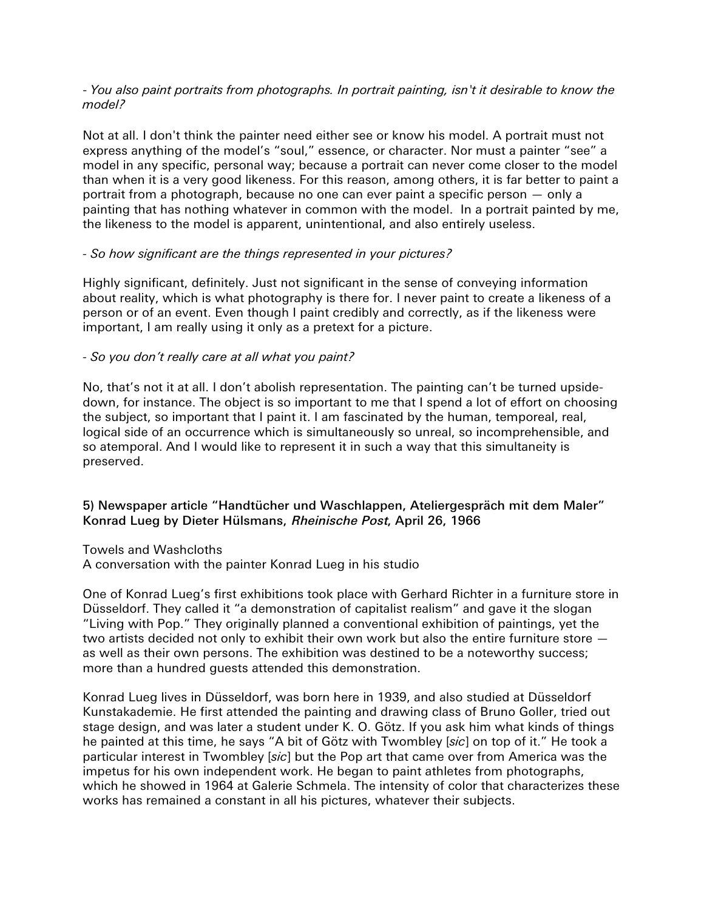- *You also paint portraits from photographs. In portrait painting, isn't it desirable to know the model?*

Not at all. I don't think the painter need either see or know his model. A portrait must not express anything of the model's "soul," essence, or character. Nor must a painter "see" a model in any specific, personal way; because a portrait can never come closer to the model than when it is a very good likeness. For this reason, among others, it is far better to paint a portrait from a photograph, because no one can ever paint a specific person — only a painting that has nothing whatever in common with the model. In a portrait painted by me, the likeness to the model is apparent, unintentional, and also entirely useless.

#### *- So how significant are the things represented in your pictures?*

Highly significant, definitely. Just not significant in the sense of conveying information about reality, which is what photography is there for. I never paint to create a likeness of a person or of an event. Even though I paint credibly and correctly, as if the likeness were important, I am really using it only as a pretext for a picture.

#### *- So you don't really care at all what you paint?*

No, that's not it at all. I don't abolish representation. The painting can't be turned upsidedown, for instance. The object is so important to me that I spend a lot of effort on choosing the subject, so important that I paint it. I am fascinated by the human, temporeal, real, logical side of an occurrence which is simultaneously so unreal, so incomprehensible, and so atemporal. And I would like to represent it in such a way that this simultaneity is preserved.

#### 5) Newspaper article "Handtücher und Waschlappen, Ateliergespräch mit dem Maler" Konrad Lueg by Dieter Hülsmans, Rheinische Post, April 26, 1966

Towels and Washcloths

A conversation with the painter Konrad Lueg in his studio

One of Konrad Lueg's first exhibitions took place with Gerhard Richter in a furniture store in Düsseldorf. They called it "a demonstration of capitalist realism" and gave it the slogan "Living with Pop." They originally planned a conventional exhibition of paintings, yet the two artists decided not only to exhibit their own work but also the entire furniture store as well as their own persons. The exhibition was destined to be a noteworthy success; more than a hundred guests attended this demonstration.

Konrad Lueg lives in Düsseldorf, was born here in 1939, and also studied at Düsseldorf Kunstakademie. He first attended the painting and drawing class of Bruno Goller, tried out stage design, and was later a student under K. O. Götz. If you ask him what kinds of things he painted at this time, he says "A bit of Götz with Twombley [*sic*] on top of it." He took a particular interest in Twombley [*sic*] but the Pop art that came over from America was the impetus for his own independent work. He began to paint athletes from photographs, which he showed in 1964 at Galerie Schmela. The intensity of color that characterizes these works has remained a constant in all his pictures, whatever their subjects.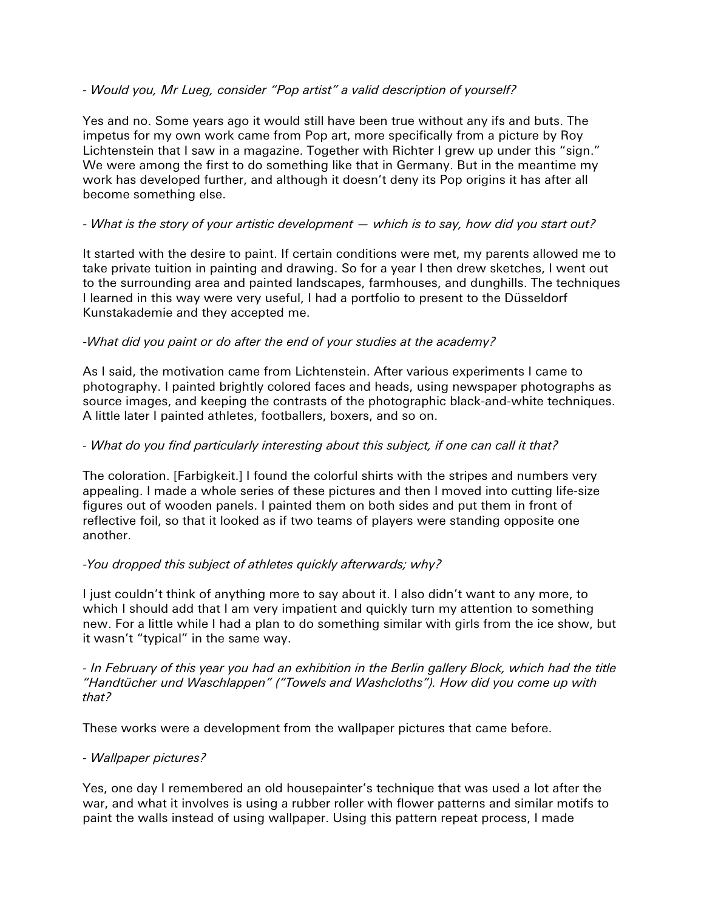### *- Would you, Mr Lueg, consider "Pop artist" a valid description of yourself?*

Yes and no. Some years ago it would still have been true without any ifs and buts. The impetus for my own work came from Pop art, more specifically from a picture by Roy Lichtenstein that I saw in a magazine. Together with Richter I grew up under this "sign." We were among the first to do something like that in Germany. But in the meantime my work has developed further, and although it doesn't deny its Pop origins it has after all become something else.

#### - *What is the story of your artistic development — which is to say, how did you start out?*

It started with the desire to paint. If certain conditions were met, my parents allowed me to take private tuition in painting and drawing. So for a year I then drew sketches, I went out to the surrounding area and painted landscapes, farmhouses, and dunghills. The techniques I learned in this way were very useful, I had a portfolio to present to the Düsseldorf Kunstakademie and they accepted me.

#### -*What did you paint or do after the end of your studies at the academy?*

As I said, the motivation came from Lichtenstein. After various experiments I came to photography. I painted brightly colored faces and heads, using newspaper photographs as source images, and keeping the contrasts of the photographic black-and-white techniques. A little later I painted athletes, footballers, boxers, and so on.

#### *- What do you find particularly interesting about this subject, if one can call it that?*

The coloration. [Farbigkeit.] I found the colorful shirts with the stripes and numbers very appealing. I made a whole series of these pictures and then I moved into cutting life-size figures out of wooden panels. I painted them on both sides and put them in front of reflective foil, so that it looked as if two teams of players were standing opposite one another.

#### -*You dropped this subject of athletes quickly afterwards; why?*

I just couldn't think of anything more to say about it. I also didn't want to any more, to which I should add that I am very impatient and quickly turn my attention to something new. For a little while I had a plan to do something similar with girls from the ice show, but it wasn't "typical" in the same way.

*- In February of this year you had an exhibition in the Berlin gallery Block, which had the title "Handtücher und Waschlappen" ("Towels and Washcloths"). How did you come up with that?*

These works were a development from the wallpaper pictures that came before.

#### *- Wallpaper pictures?*

Yes, one day I remembered an old housepainter's technique that was used a lot after the war, and what it involves is using a rubber roller with flower patterns and similar motifs to paint the walls instead of using wallpaper. Using this pattern repeat process, I made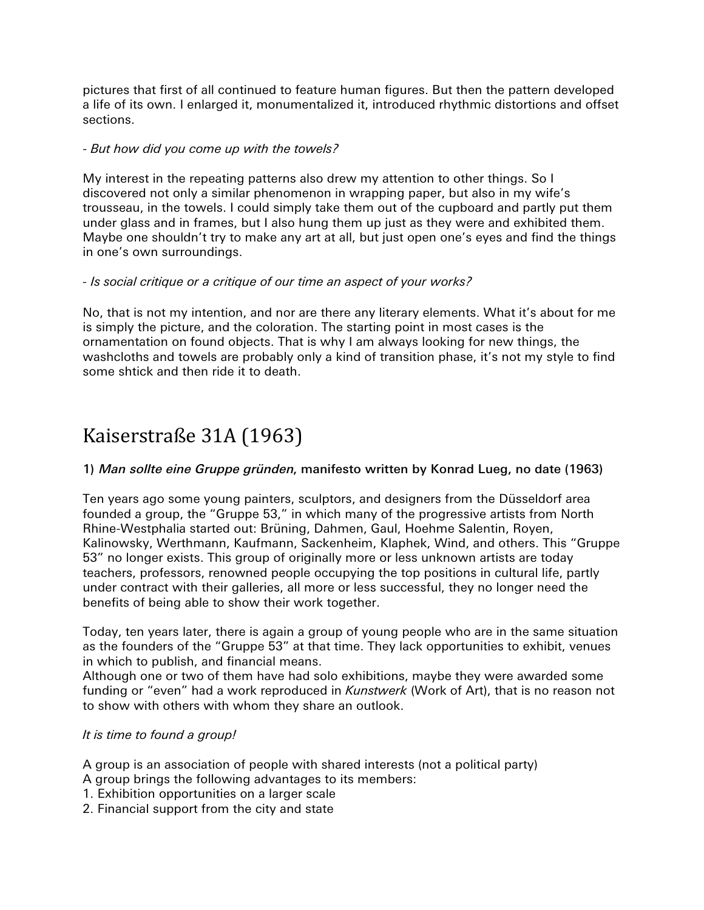pictures that first of all continued to feature human figures. But then the pattern developed a life of its own. I enlarged it, monumentalized it, introduced rhythmic distortions and offset sections.

#### - *But how did you come up with the towels?*

My interest in the repeating patterns also drew my attention to other things. So I discovered not only a similar phenomenon in wrapping paper, but also in my wife's trousseau, in the towels. I could simply take them out of the cupboard and partly put them under glass and in frames, but I also hung them up just as they were and exhibited them. Maybe one shouldn't try to make any art at all, but just open one's eyes and find the things in one's own surroundings.

## *- Is social critique or a critique of our time an aspect of your works?*

No, that is not my intention, and nor are there any literary elements. What it's about for me is simply the picture, and the coloration. The starting point in most cases is the ornamentation on found objects. That is why I am always looking for new things, the washcloths and towels are probably only a kind of transition phase, it's not my style to find some shtick and then ride it to death.

# Kaiserstraße 31A (1963)

## 1) Man sollte eine Gruppe gründen, manifesto written by Konrad Lueg, no date (1963)

Ten years ago some young painters, sculptors, and designers from the Düsseldorf area founded a group, the "Gruppe 53," in which many of the progressive artists from North Rhine-Westphalia started out: Brüning, Dahmen, Gaul, Hoehme Salentin, Royen, Kalinowsky, Werthmann, Kaufmann, Sackenheim, Klaphek, Wind, and others. This "Gruppe 53" no longer exists. This group of originally more or less unknown artists are today teachers, professors, renowned people occupying the top positions in cultural life, partly under contract with their galleries, all more or less successful, they no longer need the benefits of being able to show their work together.

Today, ten years later, there is again a group of young people who are in the same situation as the founders of the "Gruppe 53" at that time. They lack opportunities to exhibit, venues in which to publish, and financial means.

Although one or two of them have had solo exhibitions, maybe they were awarded some funding or "even" had a work reproduced in *Kunstwerk* (Work of Art), that is no reason not to show with others with whom they share an outlook.

#### *It is time to found a group!*

A group is an association of people with shared interests (not a political party)

- A group brings the following advantages to its members:
- 1. Exhibition opportunities on a larger scale
- 2. Financial support from the city and state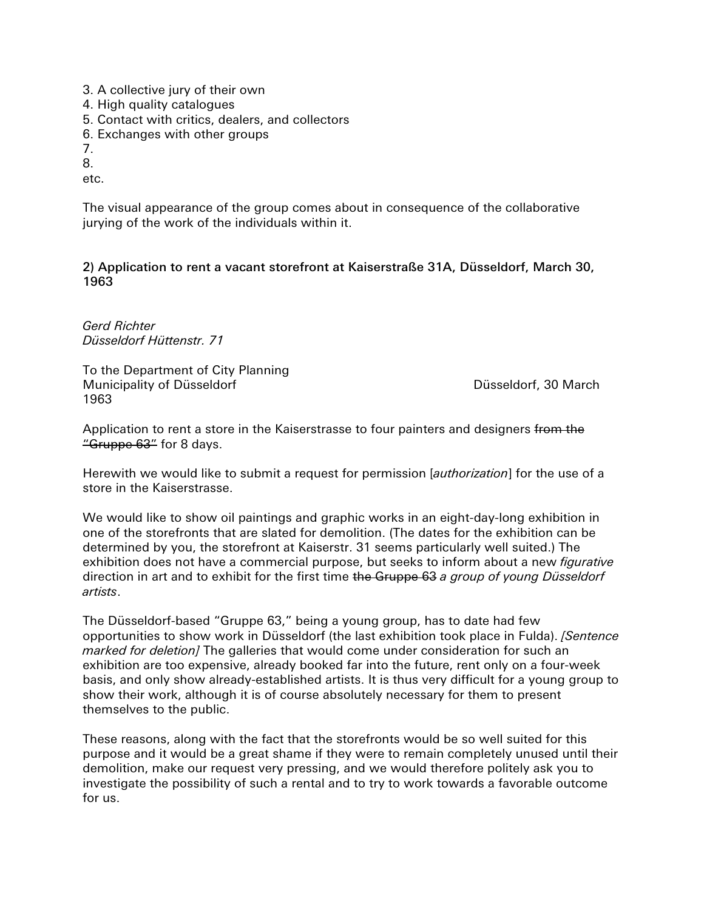3. A collective jury of their own 4. High quality catalogues 5. Contact with critics, dealers, and collectors 6. Exchanges with other groups 7. 8. etc.

The visual appearance of the group comes about in consequence of the collaborative jurying of the work of the individuals within it.

#### 2) Application to rent a vacant storefront at Kaiserstraße 31A, Düsseldorf, March 30, 1963

*Gerd Richter Düsseldorf Hüttenstr. 71*

To the Department of City Planning Municipality of Düsseldorf **Düsseldorf Düsseldorf Düsseldorf**, 30 March 1963

Application to rent a store in the Kaiserstrasse to four painters and designers from the "Gruppe 63" for 8 days.

Herewith we would like to submit a request for permission [*authorization*] for the use of a store in the Kaiserstrasse.

We would like to show oil paintings and graphic works in an eight-day-long exhibition in one of the storefronts that are slated for demolition. (The dates for the exhibition can be determined by you, the storefront at Kaiserstr. 31 seems particularly well suited.) The exhibition does not have a commercial purpose, but seeks to inform about a new *figurative* direction in art and to exhibit for the first time the Gruppe 63 *a group of young Düsseldorf artists*.

The Düsseldorf-based "Gruppe 63," being a young group, has to date had few opportunities to show work in Düsseldorf (the last exhibition took place in Fulda). *[Sentence marked for deletion]* The galleries that would come under consideration for such an exhibition are too expensive, already booked far into the future, rent only on a four-week basis, and only show already-established artists. It is thus very difficult for a young group to show their work, although it is of course absolutely necessary for them to present themselves to the public.

These reasons, along with the fact that the storefronts would be so well suited for this purpose and it would be a great shame if they were to remain completely unused until their demolition, make our request very pressing, and we would therefore politely ask you to investigate the possibility of such a rental and to try to work towards a favorable outcome for us.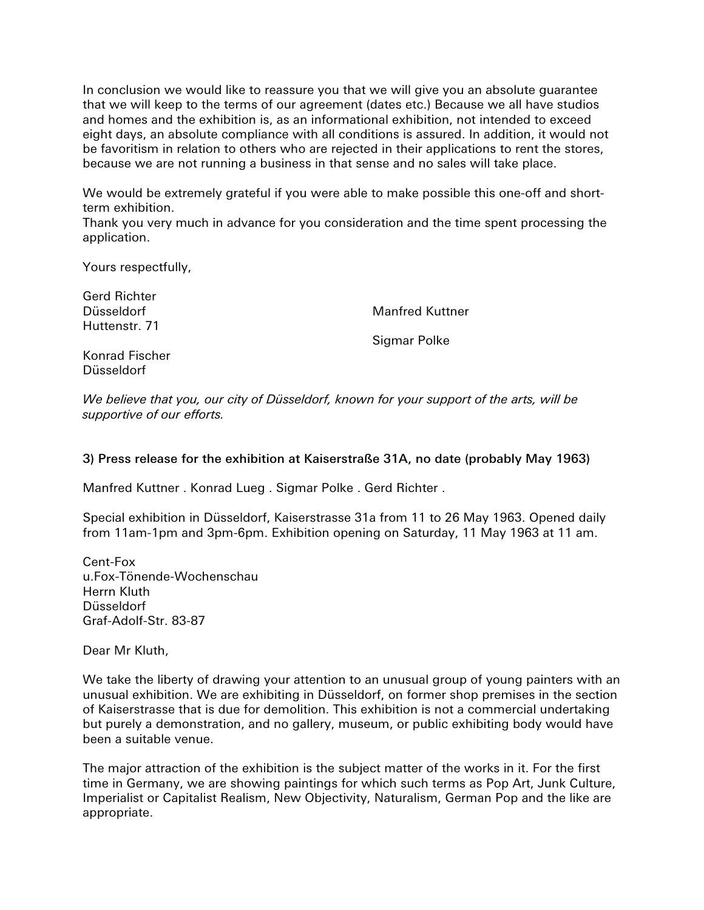In conclusion we would like to reassure you that we will give you an absolute guarantee that we will keep to the terms of our agreement (dates etc.) Because we all have studios and homes and the exhibition is, as an informational exhibition, not intended to exceed eight days, an absolute compliance with all conditions is assured. In addition, it would not be favoritism in relation to others who are rejected in their applications to rent the stores, because we are not running a business in that sense and no sales will take place.

We would be extremely grateful if you were able to make possible this one-off and shortterm exhibition.

Thank you very much in advance for you consideration and the time spent processing the application.

Yours respectfully,

Gerd Richter Düsseldorf Huttenstr. 71

Manfred Kuttner

Sigmar Polke

Konrad Fischer Düsseldorf

*We believe that you, our city of Düsseldorf, known for your support of the arts, will be supportive of our efforts.* 

3) Press release for the exhibition at Kaiserstraße 31A, no date (probably May 1963)

Manfred Kuttner . Konrad Lueg . Sigmar Polke . Gerd Richter .

Special exhibition in Düsseldorf, Kaiserstrasse 31a from 11 to 26 May 1963. Opened daily from 11am-1pm and 3pm-6pm. Exhibition opening on Saturday, 11 May 1963 at 11 am.

Cent-Fox u.Fox-Tönende-Wochenschau Herrn Kluth Düsseldorf Graf-Adolf-Str. 83-87

Dear Mr Kluth,

We take the liberty of drawing your attention to an unusual group of young painters with an unusual exhibition. We are exhibiting in Düsseldorf, on former shop premises in the section of Kaiserstrasse that is due for demolition. This exhibition is not a commercial undertaking but purely a demonstration, and no gallery, museum, or public exhibiting body would have been a suitable venue.

The major attraction of the exhibition is the subject matter of the works in it. For the first time in Germany, we are showing paintings for which such terms as Pop Art, Junk Culture, Imperialist or Capitalist Realism, New Objectivity, Naturalism, German Pop and the like are appropriate.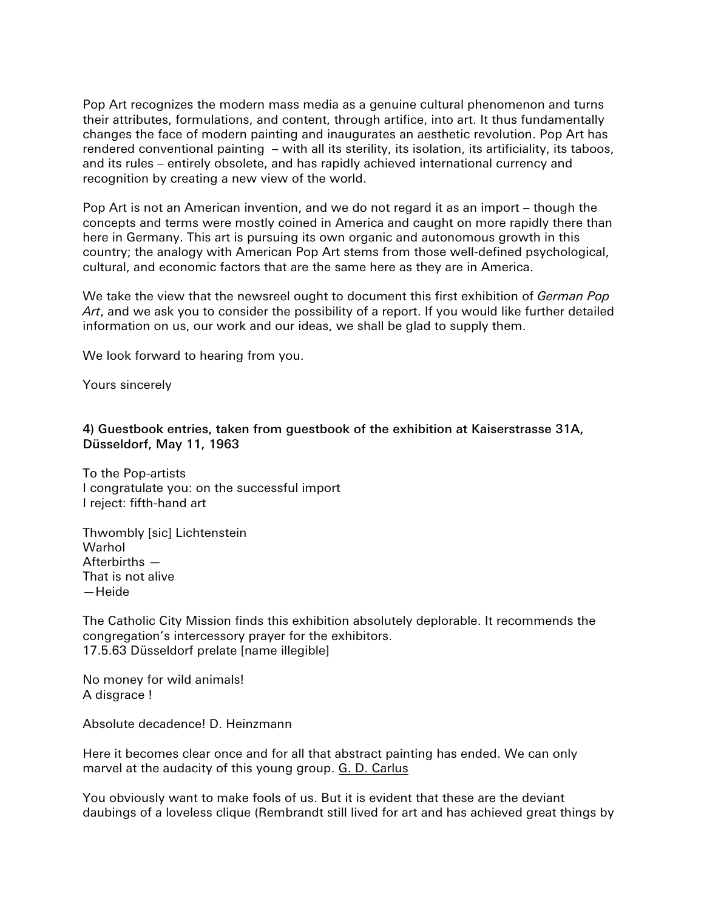Pop Art recognizes the modern mass media as a genuine cultural phenomenon and turns their attributes, formulations, and content, through artifice, into art. It thus fundamentally changes the face of modern painting and inaugurates an aesthetic revolution. Pop Art has rendered conventional painting – with all its sterility, its isolation, its artificiality, its taboos, and its rules – entirely obsolete, and has rapidly achieved international currency and recognition by creating a new view of the world.

Pop Art is not an American invention, and we do not regard it as an import – though the concepts and terms were mostly coined in America and caught on more rapidly there than here in Germany. This art is pursuing its own organic and autonomous growth in this country; the analogy with American Pop Art stems from those well-defined psychological, cultural, and economic factors that are the same here as they are in America.

We take the view that the newsreel ought to document this first exhibition of *German Pop Art*, and we ask you to consider the possibility of a report. If you would like further detailed information on us, our work and our ideas, we shall be glad to supply them.

We look forward to hearing from you.

Yours sincerely

4) Guestbook entries, taken from guestbook of the exhibition at Kaiserstrasse 31A, Düsseldorf, May 11, 1963

To the Pop-artists I congratulate you: on the successful import I reject: fifth-hand art

Thwombly [sic] Lichtenstein **Warhol** Afterbirths — That is not alive —Heide

The Catholic City Mission finds this exhibition absolutely deplorable. It recommends the congregation's intercessory prayer for the exhibitors. 17.5.63 Düsseldorf prelate [name illegible]

No money for wild animals! A disgrace !

Absolute decadence! D. Heinzmann

Here it becomes clear once and for all that abstract painting has ended. We can only marvel at the audacity of this young group. G. D. Carlus

You obviously want to make fools of us. But it is evident that these are the deviant daubings of a loveless clique (Rembrandt still lived for art and has achieved great things by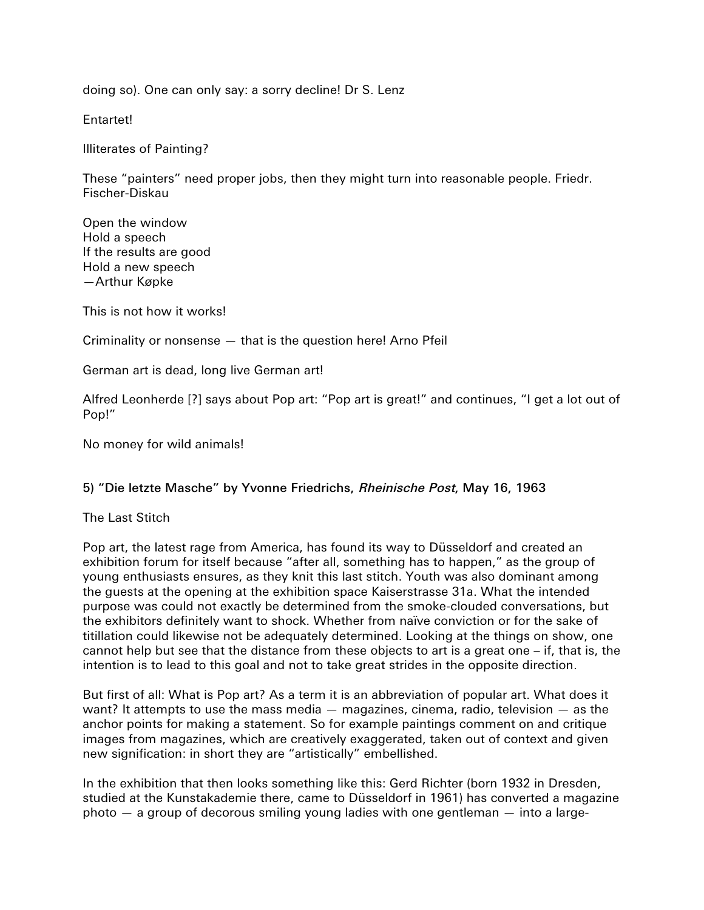doing so). One can only say: a sorry decline! Dr S. Lenz

Entartet!

Illiterates of Painting?

These "painters" need proper jobs, then they might turn into reasonable people. Friedr. Fischer-Diskau

Open the window Hold a speech If the results are good Hold a new speech —Arthur Køpke

This is not how it works!

Criminality or nonsense — that is the question here! Arno Pfeil

German art is dead, long live German art!

Alfred Leonherde [?] says about Pop art: "Pop art is great!" and continues, "I get a lot out of Pop!"

No money for wild animals!

## 5) "Die letzte Masche" by Yvonne Friedrichs, Rheinische Post, May 16, 1963

### The Last Stitch

Pop art, the latest rage from America, has found its way to Düsseldorf and created an exhibition forum for itself because "after all, something has to happen," as the group of young enthusiasts ensures, as they knit this last stitch. Youth was also dominant among the guests at the opening at the exhibition space Kaiserstrasse 31a. What the intended purpose was could not exactly be determined from the smoke-clouded conversations, but the exhibitors definitely want to shock. Whether from naïve conviction or for the sake of titillation could likewise not be adequately determined. Looking at the things on show, one cannot help but see that the distance from these objects to art is a great one – if, that is, the intention is to lead to this goal and not to take great strides in the opposite direction.

But first of all: What is Pop art? As a term it is an abbreviation of popular art. What does it want? It attempts to use the mass media  $-$  magazines, cinema, radio, television  $-$  as the anchor points for making a statement. So for example paintings comment on and critique images from magazines, which are creatively exaggerated, taken out of context and given new signification: in short they are "artistically" embellished.

In the exhibition that then looks something like this: Gerd Richter (born 1932 in Dresden, studied at the Kunstakademie there, came to Düsseldorf in 1961) has converted a magazine photo — a group of decorous smiling young ladies with one gentleman — into a large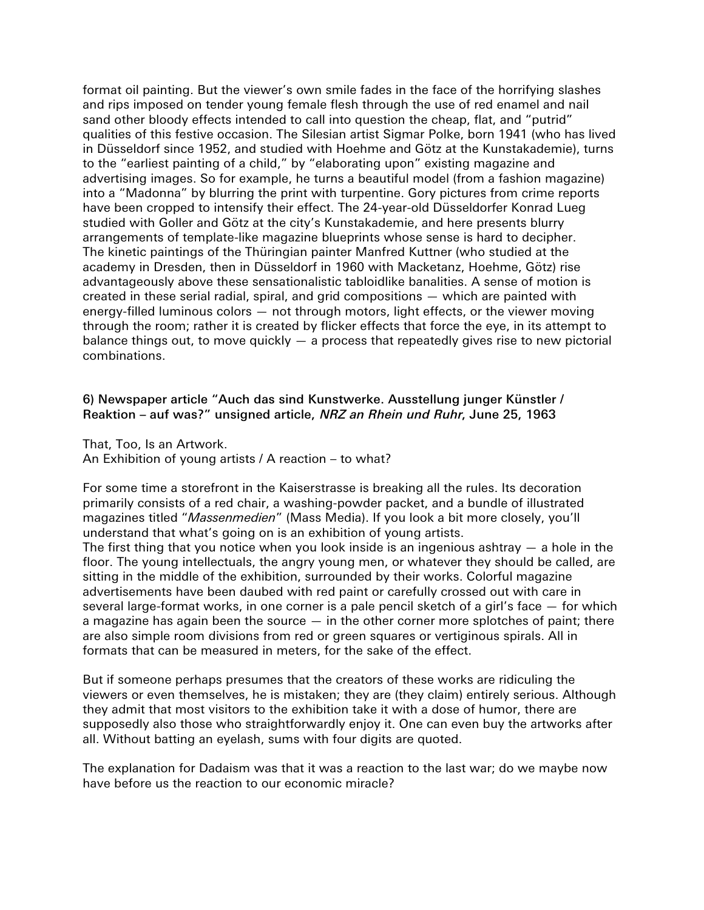format oil painting. But the viewer's own smile fades in the face of the horrifying slashes and rips imposed on tender young female flesh through the use of red enamel and nail sand other bloody effects intended to call into question the cheap, flat, and "putrid" qualities of this festive occasion. The Silesian artist Sigmar Polke, born 1941 (who has lived in Düsseldorf since 1952, and studied with Hoehme and Götz at the Kunstakademie), turns to the "earliest painting of a child," by "elaborating upon" existing magazine and advertising images. So for example, he turns a beautiful model (from a fashion magazine) into a "Madonna" by blurring the print with turpentine. Gory pictures from crime reports have been cropped to intensify their effect. The 24-year-old Düsseldorfer Konrad Lueg studied with Goller and Götz at the city's Kunstakademie, and here presents blurry arrangements of template-like magazine blueprints whose sense is hard to decipher. The kinetic paintings of the Thüringian painter Manfred Kuttner (who studied at the academy in Dresden, then in Düsseldorf in 1960 with Macketanz, Hoehme, Götz) rise advantageously above these sensationalistic tabloidlike banalities. A sense of motion is created in these serial radial, spiral, and grid compositions — which are painted with energy-filled luminous colors — not through motors, light effects, or the viewer moving through the room; rather it is created by flicker effects that force the eye, in its attempt to balance things out, to move quickly  $-$  a process that repeatedly gives rise to new pictorial combinations.

#### 6) Newspaper article "Auch das sind Kunstwerke. Ausstellung junger Künstler / Reaktion – auf was?" unsigned article, NRZ an Rhein und Ruhr, June 25, 1963

That, Too, Is an Artwork. An Exhibition of young artists / A reaction – to what?

For some time a storefront in the Kaiserstrasse is breaking all the rules. Its decoration primarily consists of a red chair, a washing-powder packet, and a bundle of illustrated magazines titled "*Massenmedien*" (Mass Media). If you look a bit more closely, you'll understand that what's going on is an exhibition of young artists.

The first thing that you notice when you look inside is an ingenious ashtray  $-$  a hole in the floor. The young intellectuals, the angry young men, or whatever they should be called, are sitting in the middle of the exhibition, surrounded by their works. Colorful magazine advertisements have been daubed with red paint or carefully crossed out with care in several large-format works, in one corner is a pale pencil sketch of a girl's face — for which a magazine has again been the source  $-$  in the other corner more splotches of paint; there are also simple room divisions from red or green squares or vertiginous spirals. All in formats that can be measured in meters, for the sake of the effect.

But if someone perhaps presumes that the creators of these works are ridiculing the viewers or even themselves, he is mistaken; they are (they claim) entirely serious. Although they admit that most visitors to the exhibition take it with a dose of humor, there are supposedly also those who straightforwardly enjoy it. One can even buy the artworks after all. Without batting an eyelash, sums with four digits are quoted.

The explanation for Dadaism was that it was a reaction to the last war; do we maybe now have before us the reaction to our economic miracle?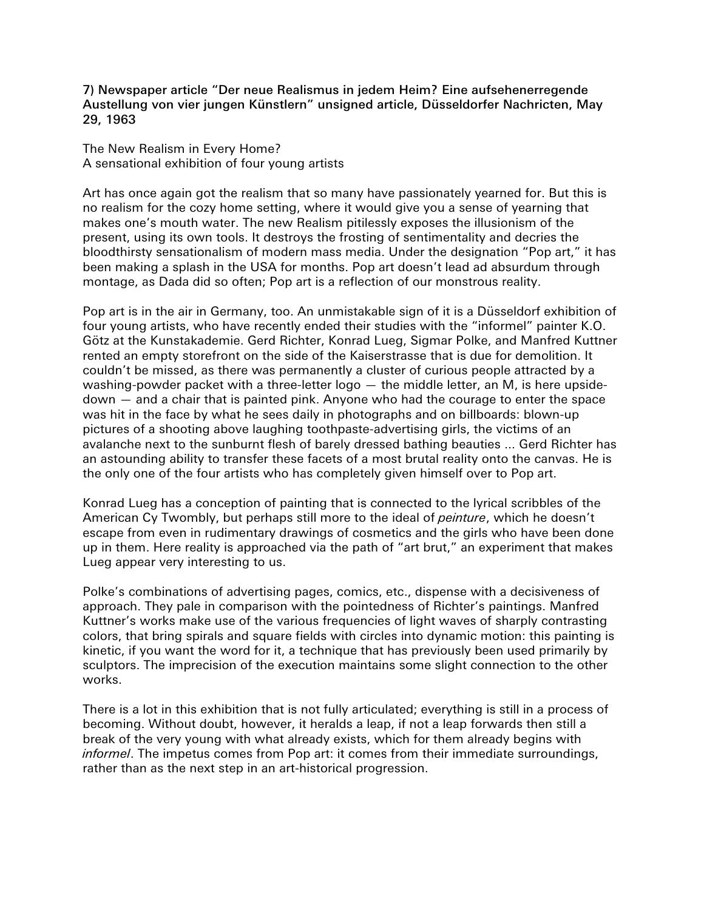7) Newspaper article "Der neue Realismus in jedem Heim? Eine aufsehenerregende Austellung von vier jungen Künstlern" unsigned article, Düsseldorfer Nachricten, May 29, 1963

The New Realism in Every Home? A sensational exhibition of four young artists

Art has once again got the realism that so many have passionately yearned for. But this is no realism for the cozy home setting, where it would give you a sense of yearning that makes one's mouth water. The new Realism pitilessly exposes the illusionism of the present, using its own tools. It destroys the frosting of sentimentality and decries the bloodthirsty sensationalism of modern mass media. Under the designation "Pop art," it has been making a splash in the USA for months. Pop art doesn't lead ad absurdum through montage, as Dada did so often; Pop art is a reflection of our monstrous reality.

Pop art is in the air in Germany, too. An unmistakable sign of it is a Düsseldorf exhibition of four young artists, who have recently ended their studies with the "informel" painter K.O. Götz at the Kunstakademie. Gerd Richter, Konrad Lueg, Sigmar Polke, and Manfred Kuttner rented an empty storefront on the side of the Kaiserstrasse that is due for demolition. It couldn't be missed, as there was permanently a cluster of curious people attracted by a washing-powder packet with a three-letter logo — the middle letter, an M, is here upsidedown — and a chair that is painted pink. Anyone who had the courage to enter the space was hit in the face by what he sees daily in photographs and on billboards: blown-up pictures of a shooting above laughing toothpaste-advertising girls, the victims of an avalanche next to the sunburnt flesh of barely dressed bathing beauties ... Gerd Richter has an astounding ability to transfer these facets of a most brutal reality onto the canvas. He is the only one of the four artists who has completely given himself over to Pop art.

Konrad Lueg has a conception of painting that is connected to the lyrical scribbles of the American Cy Twombly, but perhaps still more to the ideal of *peinture*, which he doesn't escape from even in rudimentary drawings of cosmetics and the girls who have been done up in them. Here reality is approached via the path of "art brut," an experiment that makes Lueg appear very interesting to us.

Polke's combinations of advertising pages, comics, etc., dispense with a decisiveness of approach. They pale in comparison with the pointedness of Richter's paintings. Manfred Kuttner's works make use of the various frequencies of light waves of sharply contrasting colors, that bring spirals and square fields with circles into dynamic motion: this painting is kinetic, if you want the word for it, a technique that has previously been used primarily by sculptors. The imprecision of the execution maintains some slight connection to the other works.

There is a lot in this exhibition that is not fully articulated; everything is still in a process of becoming. Without doubt, however, it heralds a leap, if not a leap forwards then still a break of the very young with what already exists, which for them already begins with *informel*. The impetus comes from Pop art: it comes from their immediate surroundings, rather than as the next step in an art-historical progression.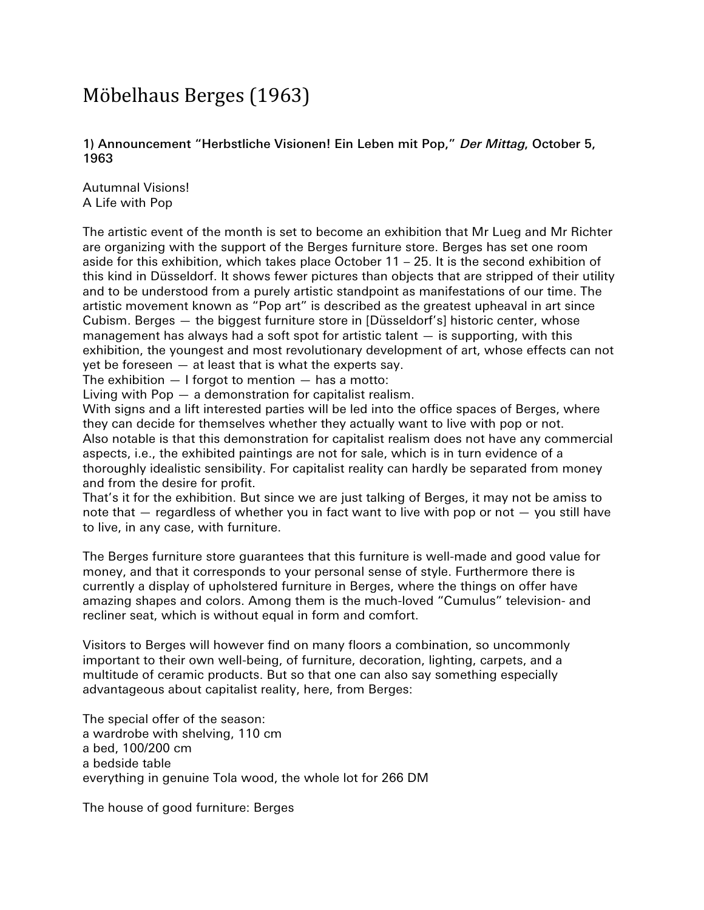# Möbelhaus Berges (1963)

## 1) Announcement "Herbstliche Visionen! Ein Leben mit Pop," Der Mittag, October 5, 1963

Autumnal Visions! A Life with Pop

The artistic event of the month is set to become an exhibition that Mr Lueg and Mr Richter are organizing with the support of the Berges furniture store. Berges has set one room aside for this exhibition, which takes place October 11 – 25. It is the second exhibition of this kind in Düsseldorf. It shows fewer pictures than objects that are stripped of their utility and to be understood from a purely artistic standpoint as manifestations of our time. The artistic movement known as "Pop art" is described as the greatest upheaval in art since Cubism. Berges — the biggest furniture store in [Düsseldorf's] historic center, whose management has always had a soft spot for artistic talent  $-$  is supporting, with this exhibition, the youngest and most revolutionary development of art, whose effects can not yet be foreseen — at least that is what the experts say.

The exhibition  $-1$  forgot to mention  $-$  has a motto:

Living with Pop — a demonstration for capitalist realism.

With signs and a lift interested parties will be led into the office spaces of Berges, where they can decide for themselves whether they actually want to live with pop or not. Also notable is that this demonstration for capitalist realism does not have any commercial aspects, i.e., the exhibited paintings are not for sale, which is in turn evidence of a thoroughly idealistic sensibility. For capitalist reality can hardly be separated from money and from the desire for profit.

That's it for the exhibition. But since we are just talking of Berges, it may not be amiss to note that — regardless of whether you in fact want to live with pop or not — you still have to live, in any case, with furniture.

The Berges furniture store guarantees that this furniture is well-made and good value for money, and that it corresponds to your personal sense of style. Furthermore there is currently a display of upholstered furniture in Berges, where the things on offer have amazing shapes and colors. Among them is the much-loved "Cumulus" television- and recliner seat, which is without equal in form and comfort.

Visitors to Berges will however find on many floors a combination, so uncommonly important to their own well-being, of furniture, decoration, lighting, carpets, and a multitude of ceramic products. But so that one can also say something especially advantageous about capitalist reality, here, from Berges:

The special offer of the season: a wardrobe with shelving, 110 cm a bed, 100/200 cm a bedside table everything in genuine Tola wood, the whole lot for 266 DM

The house of good furniture: Berges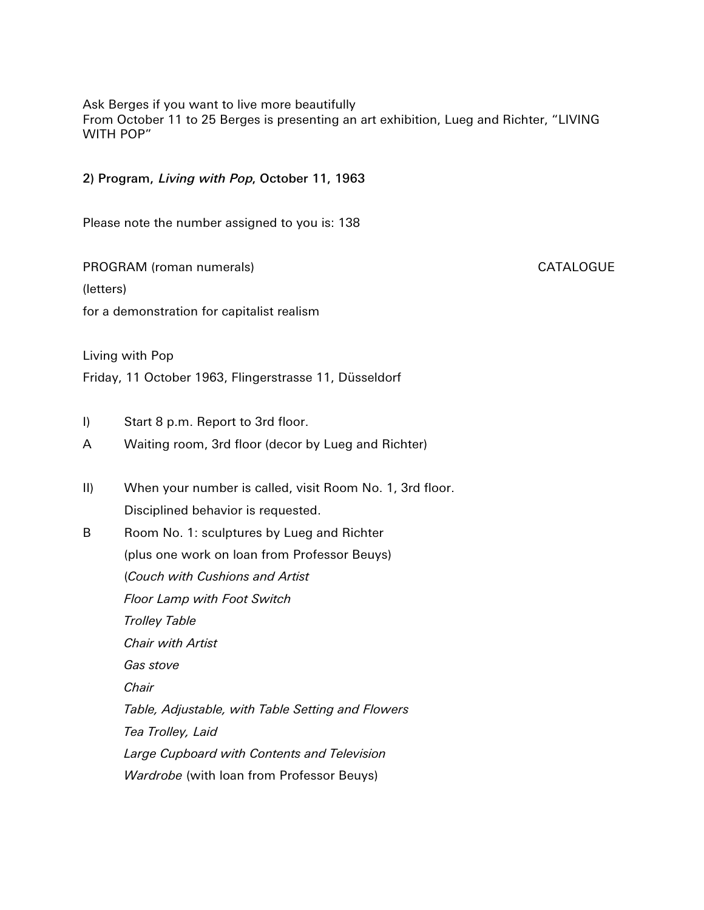Ask Berges if you want to live more beautifully

From October 11 to 25 Berges is presenting an art exhibition, Lueg and Richter, "LIVING WITH POP"

2) Program, Living with Pop, October 11, 1963

Please note the number assigned to you is: 138

PROGRAM (roman numerals) and the control of the control of the control of the control of the control of the control of the control of the control of the control of the control of the control of the control of the control o (letters) for a demonstration for capitalist realism

Living with Pop Friday, 11 October 1963, Flingerstrasse 11, Düsseldorf

- I) Start 8 p.m. Report to 3rd floor.
- A Waiting room, 3rd floor (decor by Lueg and Richter)
- II) When your number is called, visit Room No. 1, 3rd floor. Disciplined behavior is requested.
- B Room No. 1: sculptures by Lueg and Richter (plus one work on loan from Professor Beuys) (*Couch with Cushions and Artist Floor Lamp with Foot Switch Trolley Table Chair with Artist Gas stove Chair Table, Adjustable, with Table Setting and Flowers Tea Trolley, Laid Large Cupboard with Contents and Television Wardrobe* (with loan from Professor Beuys)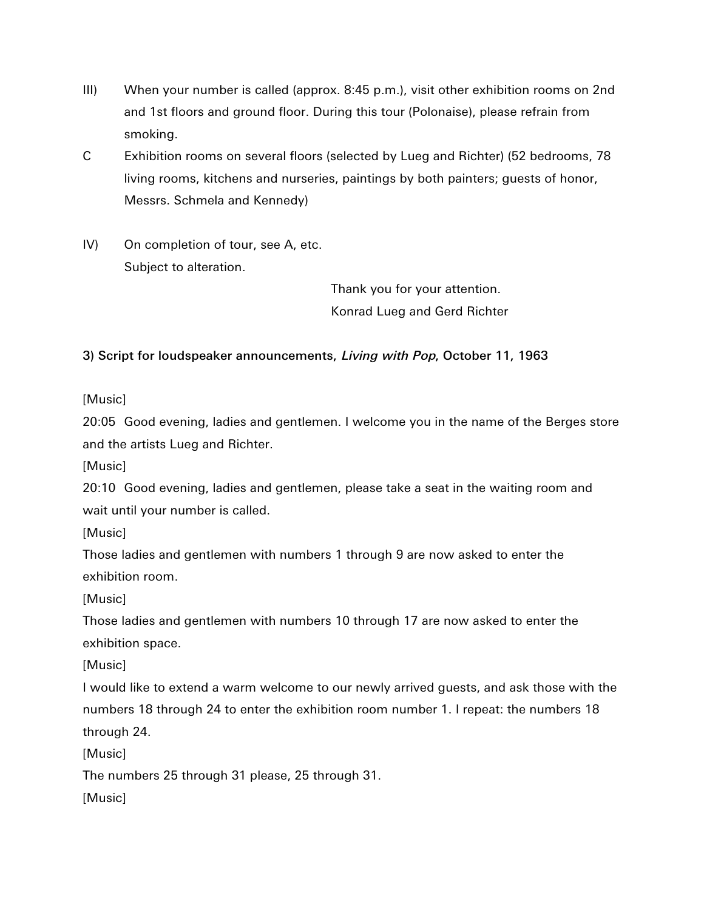- III) When your number is called (approx. 8:45 p.m.), visit other exhibition rooms on 2nd and 1st floors and ground floor. During this tour (Polonaise), please refrain from smoking.
- C Exhibition rooms on several floors (selected by Lueg and Richter) (52 bedrooms, 78 living rooms, kitchens and nurseries, paintings by both painters; guests of honor, Messrs. Schmela and Kennedy)
- IV) On completion of tour, see A, etc. Subject to alteration.

Thank you for your attention. Konrad Lueg and Gerd Richter

# 3) Script for loudspeaker announcements, Living with Pop, October 11, 1963

[Music]

20:05 Good evening, ladies and gentlemen. I welcome you in the name of the Berges store and the artists Lueg and Richter.

[Music]

20:10 Good evening, ladies and gentlemen, please take a seat in the waiting room and wait until your number is called.

[Music]

Those ladies and gentlemen with numbers 1 through 9 are now asked to enter the exhibition room.

[Music]

Those ladies and gentlemen with numbers 10 through 17 are now asked to enter the exhibition space.

[Music]

I would like to extend a warm welcome to our newly arrived guests, and ask those with the numbers 18 through 24 to enter the exhibition room number 1. I repeat: the numbers 18 through 24.

[Music]

The numbers 25 through 31 please, 25 through 31.

[Music]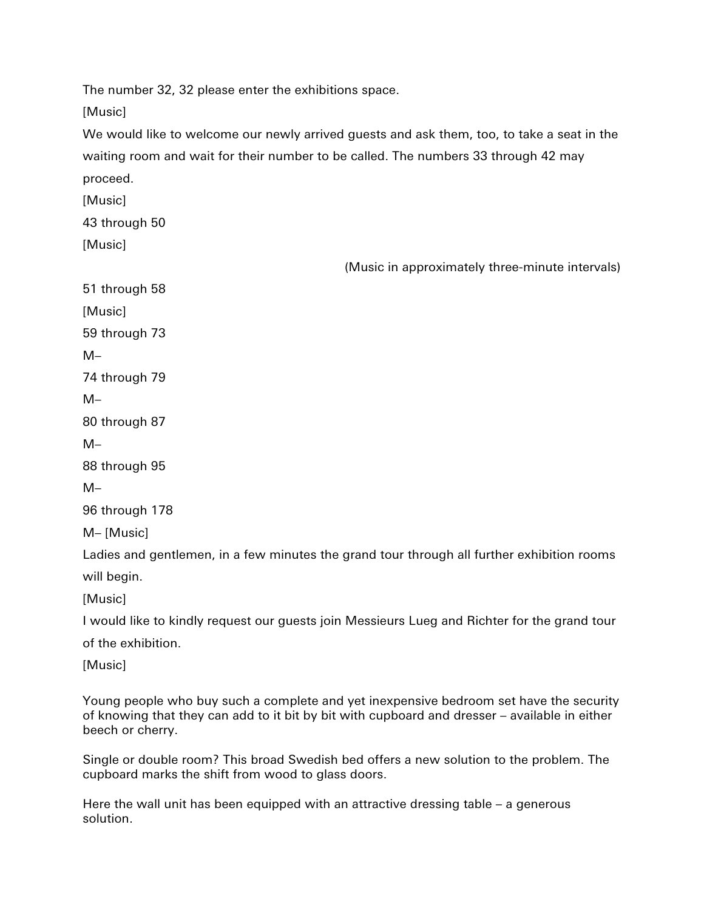The number 32, 32 please enter the exhibitions space.

[Music]

We would like to welcome our newly arrived guests and ask them, too, to take a seat in the waiting room and wait for their number to be called. The numbers 33 through 42 may proceed.

[Music] 43 through 50

[Music]

(Music in approximately three-minute intervals)

[Music] 59 through 73

51 through 58

 $M-$ 

74 through 79

 $M-$ 

80 through 87

 $M-$ 

88 through 95

M–

96 through 178

M– [Music]

Ladies and gentlemen, in a few minutes the grand tour through all further exhibition rooms will begin.

[Music]

I would like to kindly request our guests join Messieurs Lueg and Richter for the grand tour of the exhibition.

[Music]

Young people who buy such a complete and yet inexpensive bedroom set have the security of knowing that they can add to it bit by bit with cupboard and dresser – available in either beech or cherry.

Single or double room? This broad Swedish bed offers a new solution to the problem. The cupboard marks the shift from wood to glass doors.

Here the wall unit has been equipped with an attractive dressing table – a generous solution.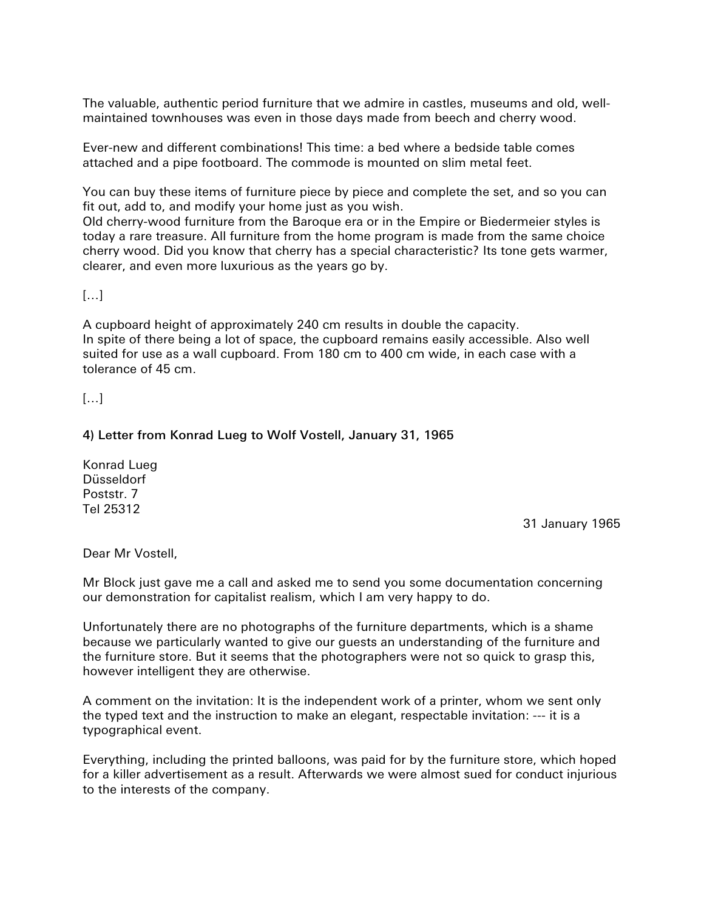The valuable, authentic period furniture that we admire in castles, museums and old, wellmaintained townhouses was even in those days made from beech and cherry wood.

Ever-new and different combinations! This time: a bed where a bedside table comes attached and a pipe footboard. The commode is mounted on slim metal feet.

You can buy these items of furniture piece by piece and complete the set, and so you can fit out, add to, and modify your home just as you wish.

Old cherry-wood furniture from the Baroque era or in the Empire or Biedermeier styles is today a rare treasure. All furniture from the home program is made from the same choice cherry wood. Did you know that cherry has a special characteristic? Its tone gets warmer, clearer, and even more luxurious as the years go by.

[…]

A cupboard height of approximately 240 cm results in double the capacity. In spite of there being a lot of space, the cupboard remains easily accessible. Also well suited for use as a wall cupboard. From 180 cm to 400 cm wide, in each case with a tolerance of 45 cm.

 $[...]$ 

#### 4) Letter from Konrad Lueg to Wolf Vostell, January 31, 1965

Konrad Lueg Düsseldorf Poststr. 7 Tel 25312

31 January 1965

Dear Mr Vostell,

Mr Block just gave me a call and asked me to send you some documentation concerning our demonstration for capitalist realism, which I am very happy to do.

Unfortunately there are no photographs of the furniture departments, which is a shame because we particularly wanted to give our guests an understanding of the furniture and the furniture store. But it seems that the photographers were not so quick to grasp this, however intelligent they are otherwise.

A comment on the invitation: It is the independent work of a printer, whom we sent only the typed text and the instruction to make an elegant, respectable invitation: --- it is a typographical event.

Everything, including the printed balloons, was paid for by the furniture store, which hoped for a killer advertisement as a result. Afterwards we were almost sued for conduct injurious to the interests of the company.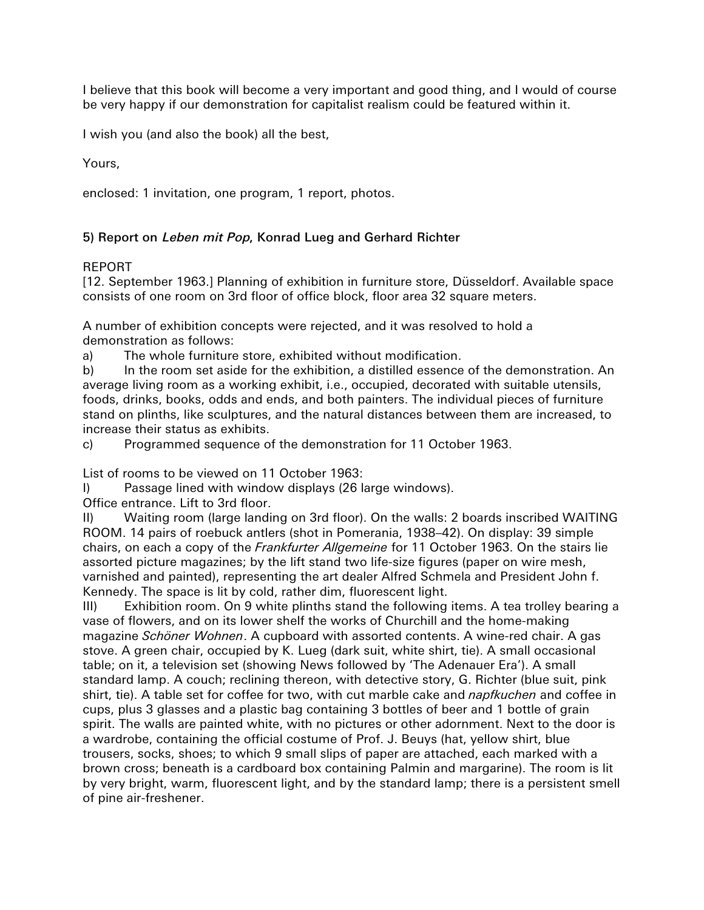I believe that this book will become a very important and good thing, and I would of course be very happy if our demonstration for capitalist realism could be featured within it.

I wish you (and also the book) all the best,

Yours,

enclosed: 1 invitation, one program, 1 report, photos.

# 5) Report on Leben mit Pop, Konrad Lueg and Gerhard Richter

## REPORT

[12. September 1963.] Planning of exhibition in furniture store, Düsseldorf. Available space consists of one room on 3rd floor of office block, floor area 32 square meters.

A number of exhibition concepts were rejected, and it was resolved to hold a demonstration as follows:

a) The whole furniture store, exhibited without modification.

b) In the room set aside for the exhibition, a distilled essence of the demonstration. An average living room as a working exhibit, i.e., occupied, decorated with suitable utensils, foods, drinks, books, odds and ends, and both painters. The individual pieces of furniture stand on plinths, like sculptures, and the natural distances between them are increased, to increase their status as exhibits.

c) Programmed sequence of the demonstration for 11 October 1963.

List of rooms to be viewed on 11 October 1963:

I) Passage lined with window displays (26 large windows).

Office entrance. Lift to 3rd floor.

II) Waiting room (large landing on 3rd floor). On the walls: 2 boards inscribed WAITING ROOM. 14 pairs of roebuck antlers (shot in Pomerania, 1938–42). On display: 39 simple chairs, on each a copy of the *Frankfurter Allgemeine* for 11 October 1963. On the stairs lie assorted picture magazines; by the lift stand two life-size figures (paper on wire mesh, varnished and painted), representing the art dealer Alfred Schmela and President John f. Kennedy. The space is lit by cold, rather dim, fluorescent light.

III) Exhibition room. On 9 white plinths stand the following items. A tea trolley bearing a vase of flowers, and on its lower shelf the works of Churchill and the home-making magazine *Schöner Wohnen*. A cupboard with assorted contents. A wine-red chair. A gas stove. A green chair, occupied by K. Lueg (dark suit, white shirt, tie). A small occasional table; on it, a television set (showing News followed by 'The Adenauer Era'). A small standard lamp. A couch; reclining thereon, with detective story, G. Richter (blue suit, pink shirt, tie). A table set for coffee for two, with cut marble cake and *napfkuchen* and coffee in cups, plus 3 glasses and a plastic bag containing 3 bottles of beer and 1 bottle of grain spirit. The walls are painted white, with no pictures or other adornment. Next to the door is a wardrobe, containing the official costume of Prof. J. Beuys (hat, yellow shirt, blue trousers, socks, shoes; to which 9 small slips of paper are attached, each marked with a brown cross; beneath is a cardboard box containing Palmin and margarine). The room is lit by very bright, warm, fluorescent light, and by the standard lamp; there is a persistent smell of pine air-freshener.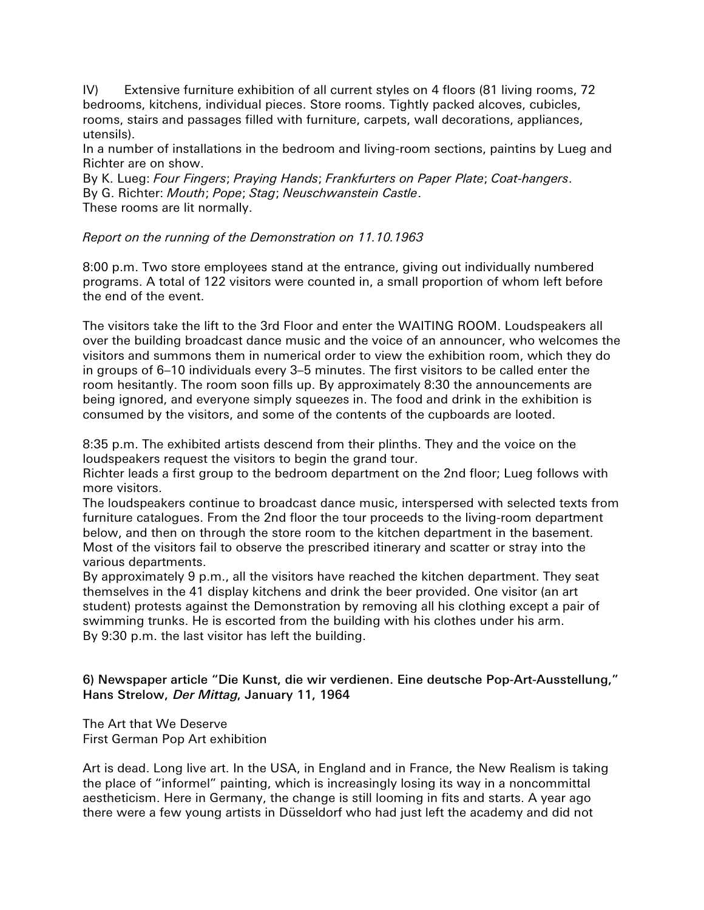IV) Extensive furniture exhibition of all current styles on 4 floors (81 living rooms, 72 bedrooms, kitchens, individual pieces. Store rooms. Tightly packed alcoves, cubicles, rooms, stairs and passages filled with furniture, carpets, wall decorations, appliances, utensils).

In a number of installations in the bedroom and living-room sections, paintins by Lueg and Richter are on show.

By K. Lueg: *Four Fingers*; *Praying Hands*; *Frankfurters on Paper Plate*; *Coat-hangers*. By G. Richter: *Mouth*; *Pope*; *Stag*; *Neuschwanstein Castle*. These rooms are lit normally.

#### *Report on the running of the Demonstration on 11.10.1963*

8:00 p.m. Two store employees stand at the entrance, giving out individually numbered programs. A total of 122 visitors were counted in, a small proportion of whom left before the end of the event.

The visitors take the lift to the 3rd Floor and enter the WAITING ROOM. Loudspeakers all over the building broadcast dance music and the voice of an announcer, who welcomes the visitors and summons them in numerical order to view the exhibition room, which they do in groups of 6–10 individuals every 3–5 minutes. The first visitors to be called enter the room hesitantly. The room soon fills up. By approximately 8:30 the announcements are being ignored, and everyone simply squeezes in. The food and drink in the exhibition is consumed by the visitors, and some of the contents of the cupboards are looted.

8:35 p.m. The exhibited artists descend from their plinths. They and the voice on the loudspeakers request the visitors to begin the grand tour.

Richter leads a first group to the bedroom department on the 2nd floor; Lueg follows with more visitors.

The loudspeakers continue to broadcast dance music, interspersed with selected texts from furniture catalogues. From the 2nd floor the tour proceeds to the living-room department below, and then on through the store room to the kitchen department in the basement. Most of the visitors fail to observe the prescribed itinerary and scatter or stray into the various departments.

By approximately 9 p.m., all the visitors have reached the kitchen department. They seat themselves in the 41 display kitchens and drink the beer provided. One visitor (an art student) protests against the Demonstration by removing all his clothing except a pair of swimming trunks. He is escorted from the building with his clothes under his arm. By 9:30 p.m. the last visitor has left the building.

#### 6) Newspaper article "Die Kunst, die wir verdienen. Eine deutsche Pop-Art-Ausstellung," Hans Strelow, Der Mittag, January 11, 1964

The Art that We Deserve First German Pop Art exhibition

Art is dead. Long live art. In the USA, in England and in France, the New Realism is taking the place of "informel" painting, which is increasingly losing its way in a noncommittal aestheticism. Here in Germany, the change is still looming in fits and starts. A year ago there were a few young artists in Düsseldorf who had just left the academy and did not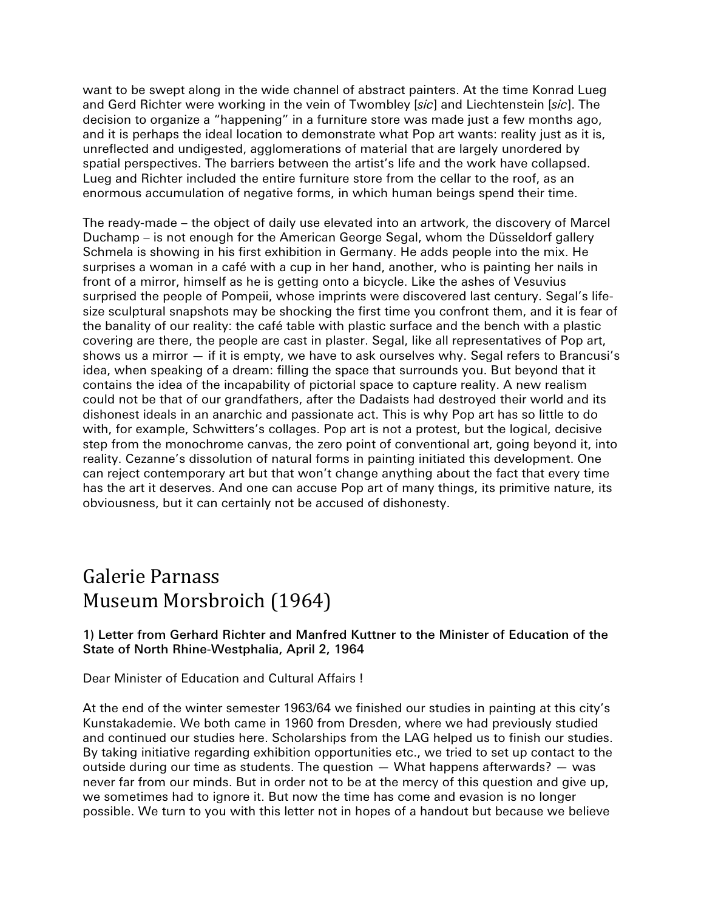want to be swept along in the wide channel of abstract painters. At the time Konrad Lueg and Gerd Richter were working in the vein of Twombley [*sic*] and Liechtenstein [*sic*]. The decision to organize a "happening" in a furniture store was made just a few months ago, and it is perhaps the ideal location to demonstrate what Pop art wants: reality just as it is, unreflected and undigested, agglomerations of material that are largely unordered by spatial perspectives. The barriers between the artist's life and the work have collapsed. Lueg and Richter included the entire furniture store from the cellar to the roof, as an enormous accumulation of negative forms, in which human beings spend their time.

The ready-made – the object of daily use elevated into an artwork, the discovery of Marcel Duchamp – is not enough for the American George Segal, whom the Düsseldorf gallery Schmela is showing in his first exhibition in Germany. He adds people into the mix. He surprises a woman in a café with a cup in her hand, another, who is painting her nails in front of a mirror, himself as he is getting onto a bicycle. Like the ashes of Vesuvius surprised the people of Pompeii, whose imprints were discovered last century. Segal's lifesize sculptural snapshots may be shocking the first time you confront them, and it is fear of the banality of our reality: the café table with plastic surface and the bench with a plastic covering are there, the people are cast in plaster. Segal, like all representatives of Pop art, shows us a mirror — if it is empty, we have to ask ourselves why. Segal refers to Brancusi's idea, when speaking of a dream: filling the space that surrounds you. But beyond that it contains the idea of the incapability of pictorial space to capture reality. A new realism could not be that of our grandfathers, after the Dadaists had destroyed their world and its dishonest ideals in an anarchic and passionate act. This is why Pop art has so little to do with, for example, Schwitters's collages. Pop art is not a protest, but the logical, decisive step from the monochrome canvas, the zero point of conventional art, going beyond it, into reality. Cezanne's dissolution of natural forms in painting initiated this development. One can reject contemporary art but that won't change anything about the fact that every time has the art it deserves. And one can accuse Pop art of many things, its primitive nature, its obviousness, but it can certainly not be accused of dishonesty.

# Galerie Parnass Museum Morsbroich (1964)

## 1) Letter from Gerhard Richter and Manfred Kuttner to the Minister of Education of the State of North Rhine-Westphalia, April 2, 1964

Dear Minister of Education and Cultural Affairs !

At the end of the winter semester 1963/64 we finished our studies in painting at this city's Kunstakademie. We both came in 1960 from Dresden, where we had previously studied and continued our studies here. Scholarships from the LAG helped us to finish our studies. By taking initiative regarding exhibition opportunities etc., we tried to set up contact to the outside during our time as students. The question  $-$  What happens afterwards?  $-$  was never far from our minds. But in order not to be at the mercy of this question and give up, we sometimes had to ignore it. But now the time has come and evasion is no longer possible. We turn to you with this letter not in hopes of a handout but because we believe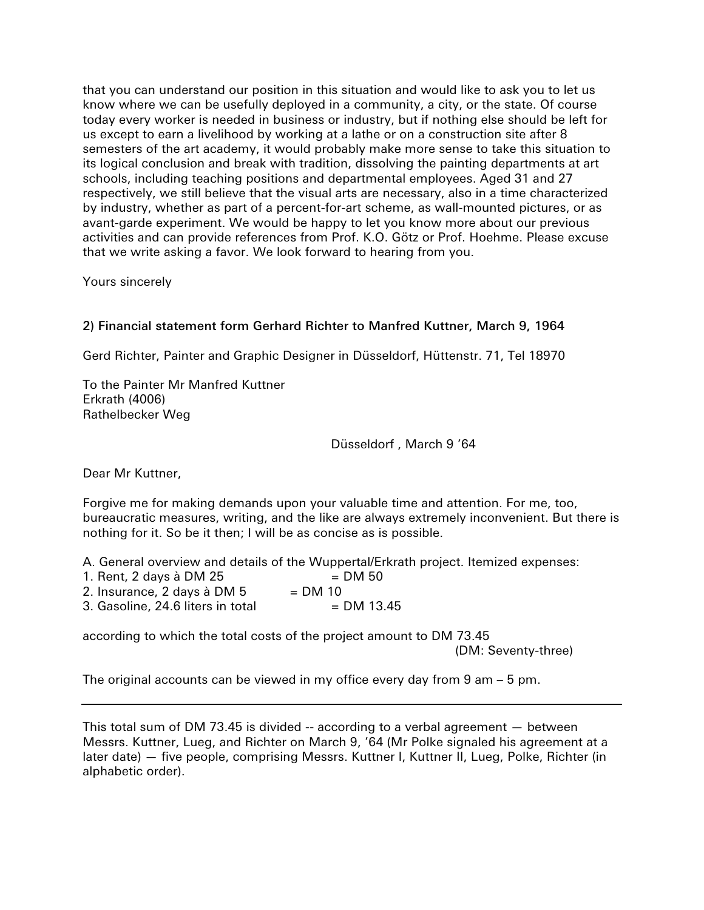that you can understand our position in this situation and would like to ask you to let us know where we can be usefully deployed in a community, a city, or the state. Of course today every worker is needed in business or industry, but if nothing else should be left for us except to earn a livelihood by working at a lathe or on a construction site after 8 semesters of the art academy, it would probably make more sense to take this situation to its logical conclusion and break with tradition, dissolving the painting departments at art schools, including teaching positions and departmental employees. Aged 31 and 27 respectively, we still believe that the visual arts are necessary, also in a time characterized by industry, whether as part of a percent-for-art scheme, as wall-mounted pictures, or as avant-garde experiment. We would be happy to let you know more about our previous activities and can provide references from Prof. K.O. Götz or Prof. Hoehme. Please excuse that we write asking a favor. We look forward to hearing from you.

Yours sincerely

# 2) Financial statement form Gerhard Richter to Manfred Kuttner, March 9, 1964

Gerd Richter, Painter and Graphic Designer in Düsseldorf, Hüttenstr. 71, Tel 18970

To the Painter Mr Manfred Kuttner Erkrath (4006) Rathelbecker Weg

Düsseldorf , March 9 '64

Dear Mr Kuttner,

Forgive me for making demands upon your valuable time and attention. For me, too, bureaucratic measures, writing, and the like are always extremely inconvenient. But there is nothing for it. So be it then; I will be as concise as is possible.

A. General overview and details of the Wuppertal/Erkrath project. Itemized expenses:

| 1. Rent, 2 days à DM 25           | $= DM 50$    |
|-----------------------------------|--------------|
| 2. Insurance, 2 days à DM 5       | $= DM 10$    |
| 3. Gasoline, 24.6 liters in total | $= DM 13.45$ |

according to which the total costs of the project amount to DM 73.45

(DM: Seventy-three)

The original accounts can be viewed in my office every day from  $9 \text{ am} - 5 \text{ pm}$ .

This total sum of DM 73.45 is divided -- according to a verbal agreement — between Messrs. Kuttner, Lueg, and Richter on March 9, '64 (Mr Polke signaled his agreement at a later date) — five people, comprising Messrs. Kuttner I, Kuttner II, Lueg, Polke, Richter (in alphabetic order).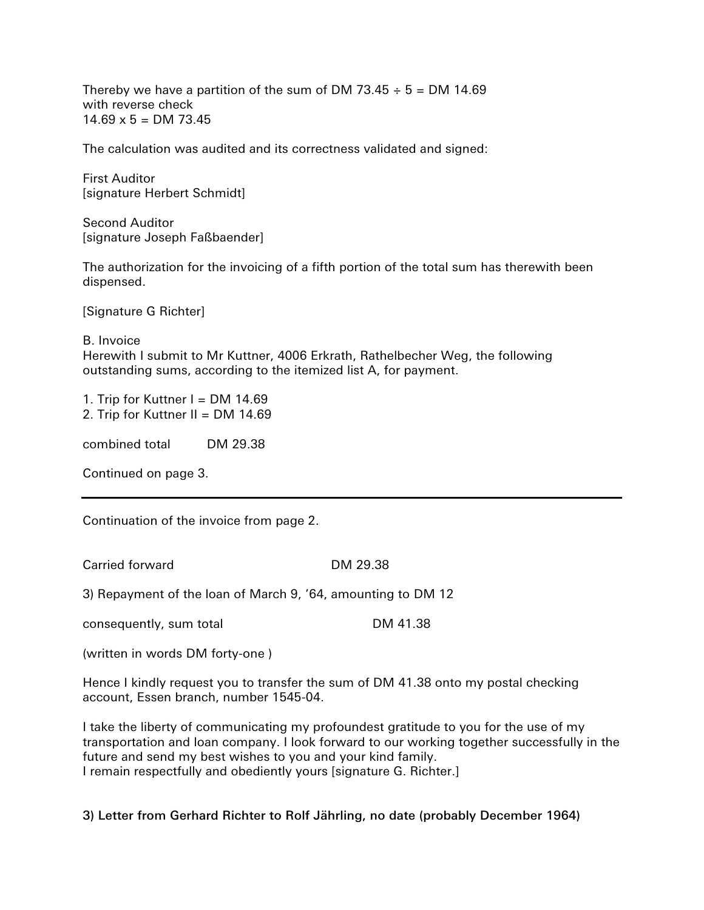Thereby we have a partition of the sum of DM 73.45  $\div$  5 = DM 14.69 with reverse check  $14.69 \times 5 = DM$  73.45

The calculation was audited and its correctness validated and signed:

First Auditor [signature Herbert Schmidt]

Second Auditor [signature Joseph Faßbaender]

The authorization for the invoicing of a fifth portion of the total sum has therewith been dispensed.

[Signature G Richter]

B. Invoice

Herewith I submit to Mr Kuttner, 4006 Erkrath, Rathelbecher Weg, the following outstanding sums, according to the itemized list A, for payment.

1. Trip for Kuttner  $I = DM$  14.69 2. Trip for Kuttner II = DM 14.69

combined total DM 29.38

Continued on page 3.

Continuation of the invoice from page 2.

Carried forward DM 29.38

3) Repayment of the loan of March 9, '64, amounting to DM 12

consequently, sum total DM 41.38

(written in words DM forty-one )

Hence I kindly request you to transfer the sum of DM 41.38 onto my postal checking account, Essen branch, number 1545-04.

I take the liberty of communicating my profoundest gratitude to you for the use of my transportation and loan company. I look forward to our working together successfully in the future and send my best wishes to you and your kind family. I remain respectfully and obediently yours [signature G. Richter.]

3) Letter from Gerhard Richter to Rolf Jährling, no date (probably December 1964)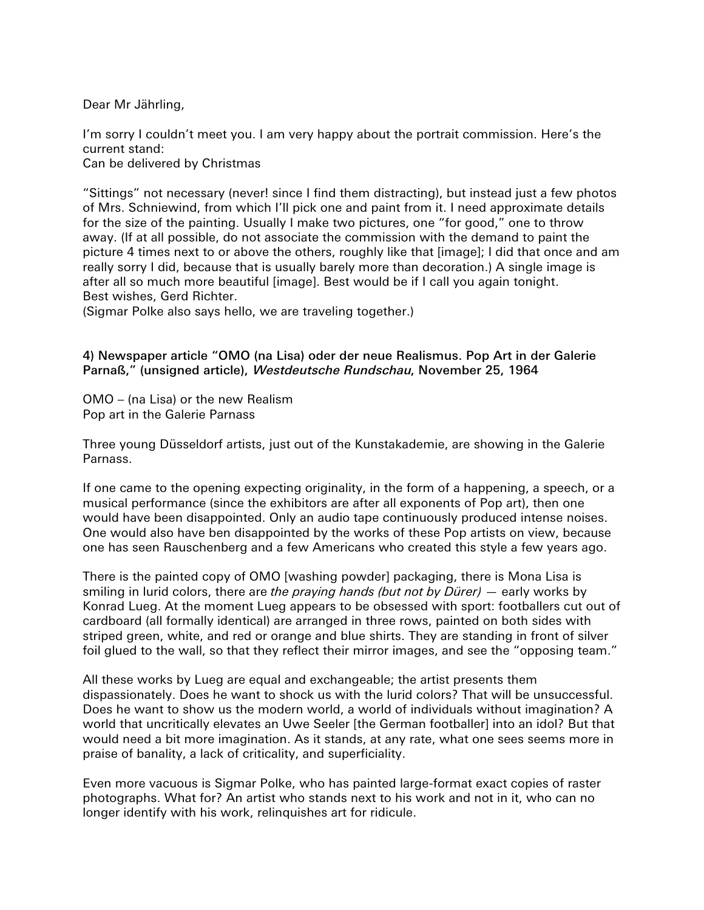Dear Mr Jährling,

I'm sorry I couldn't meet you. I am very happy about the portrait commission. Here's the current stand: Can be delivered by Christmas

"Sittings" not necessary (never! since I find them distracting), but instead just a few photos of Mrs. Schniewind, from which I'll pick one and paint from it. I need approximate details for the size of the painting. Usually I make two pictures, one "for good," one to throw away. (If at all possible, do not associate the commission with the demand to paint the picture 4 times next to or above the others, roughly like that [image]; I did that once and am really sorry I did, because that is usually barely more than decoration.) A single image is after all so much more beautiful [image]. Best would be if I call you again tonight. Best wishes, Gerd Richter.

(Sigmar Polke also says hello, we are traveling together.)

4) Newspaper article "OMO (na Lisa) oder der neue Realismus. Pop Art in der Galerie Parnaß," (unsigned article), Westdeutsche Rundschau, November 25, 1964

OMO – (na Lisa) or the new Realism Pop art in the Galerie Parnass

Three young Düsseldorf artists, just out of the Kunstakademie, are showing in the Galerie Parnass.

If one came to the opening expecting originality, in the form of a happening, a speech, or a musical performance (since the exhibitors are after all exponents of Pop art), then one would have been disappointed. Only an audio tape continuously produced intense noises. One would also have ben disappointed by the works of these Pop artists on view, because one has seen Rauschenberg and a few Americans who created this style a few years ago.

There is the painted copy of OMO [washing powder] packaging, there is Mona Lisa is smiling in lurid colors, there are *the praying hands (but not by Dürer)* — early works by Konrad Lueg. At the moment Lueg appears to be obsessed with sport: footballers cut out of cardboard (all formally identical) are arranged in three rows, painted on both sides with striped green, white, and red or orange and blue shirts. They are standing in front of silver foil glued to the wall, so that they reflect their mirror images, and see the "opposing team."

All these works by Lueg are equal and exchangeable; the artist presents them dispassionately. Does he want to shock us with the lurid colors? That will be unsuccessful. Does he want to show us the modern world, a world of individuals without imagination? A world that uncritically elevates an Uwe Seeler [the German footballer] into an idol? But that would need a bit more imagination. As it stands, at any rate, what one sees seems more in praise of banality, a lack of criticality, and superficiality.

Even more vacuous is Sigmar Polke, who has painted large-format exact copies of raster photographs. What for? An artist who stands next to his work and not in it, who can no longer identify with his work, relinquishes art for ridicule.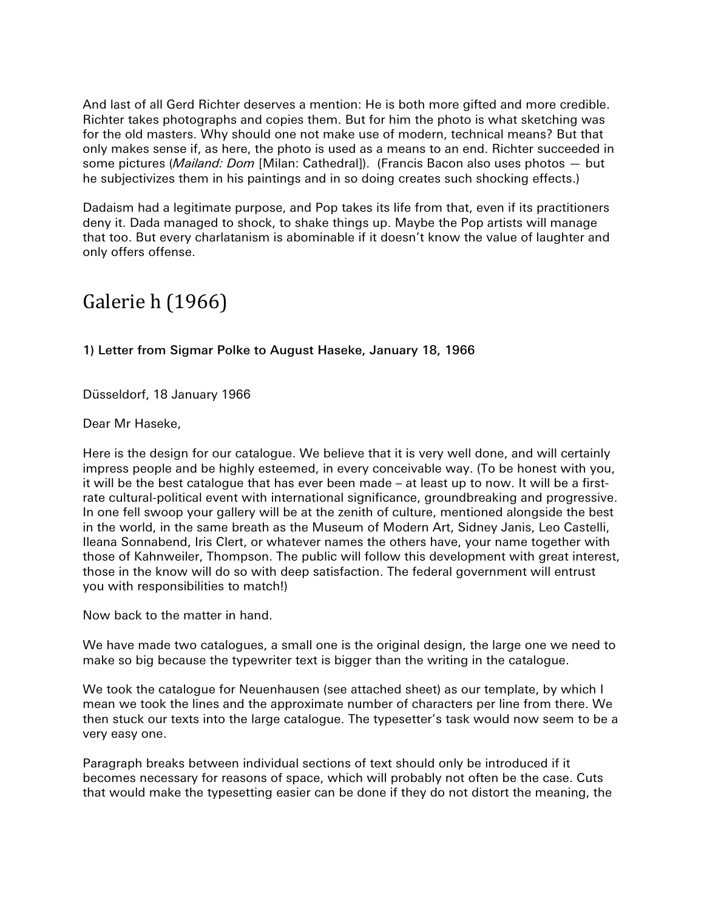And last of all Gerd Richter deserves a mention: He is both more gifted and more credible. Richter takes photographs and copies them. But for him the photo is what sketching was for the old masters. Why should one not make use of modern, technical means? But that only makes sense if, as here, the photo is used as a means to an end. Richter succeeded in some pictures (*Mailand: Dom* [Milan: Cathedral]). (Francis Bacon also uses photos — but he subjectivizes them in his paintings and in so doing creates such shocking effects.)

Dadaism had a legitimate purpose, and Pop takes its life from that, even if its practitioners deny it. Dada managed to shock, to shake things up. Maybe the Pop artists will manage that too. But every charlatanism is abominable if it doesn't know the value of laughter and only offers offense.

# Galerie h (1966)

# 1) Letter from Sigmar Polke to August Haseke, January 18, 1966

Düsseldorf, 18 January 1966

Dear Mr Haseke,

Here is the design for our catalogue. We believe that it is very well done, and will certainly impress people and be highly esteemed, in every conceivable way. (To be honest with you, it will be the best catalogue that has ever been made – at least up to now. It will be a firstrate cultural-political event with international significance, groundbreaking and progressive. In one fell swoop your gallery will be at the zenith of culture, mentioned alongside the best in the world, in the same breath as the Museum of Modern Art, Sidney Janis, Leo Castelli, Ileana Sonnabend, Iris Clert, or whatever names the others have, your name together with those of Kahnweiler, Thompson. The public will follow this development with great interest, those in the know will do so with deep satisfaction. The federal government will entrust you with responsibilities to match!)

Now back to the matter in hand.

We have made two catalogues, a small one is the original design, the large one we need to make so big because the typewriter text is bigger than the writing in the catalogue.

We took the catalogue for Neuenhausen (see attached sheet) as our template, by which I mean we took the lines and the approximate number of characters per line from there. We then stuck our texts into the large catalogue. The typesetter's task would now seem to be a very easy one.

Paragraph breaks between individual sections of text should only be introduced if it becomes necessary for reasons of space, which will probably not often be the case. Cuts that would make the typesetting easier can be done if they do not distort the meaning, the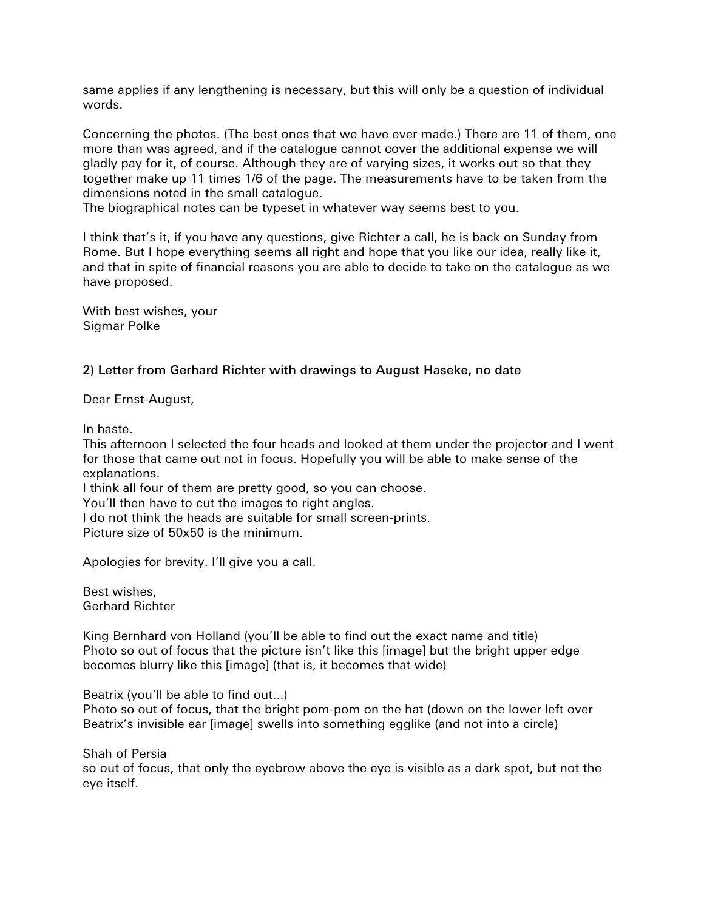same applies if any lengthening is necessary, but this will only be a question of individual words.

Concerning the photos. (The best ones that we have ever made.) There are 11 of them, one more than was agreed, and if the catalogue cannot cover the additional expense we will gladly pay for it, of course. Although they are of varying sizes, it works out so that they together make up 11 times 1/6 of the page. The measurements have to be taken from the dimensions noted in the small catalogue.

The biographical notes can be typeset in whatever way seems best to you.

I think that's it, if you have any questions, give Richter a call, he is back on Sunday from Rome. But I hope everything seems all right and hope that you like our idea, really like it, and that in spite of financial reasons you are able to decide to take on the catalogue as we have proposed.

With best wishes, your Sigmar Polke

## 2) Letter from Gerhard Richter with drawings to August Haseke, no date

Dear Ernst-August,

In haste.

This afternoon I selected the four heads and looked at them under the projector and I went for those that came out not in focus. Hopefully you will be able to make sense of the explanations.

I think all four of them are pretty good, so you can choose.

You'll then have to cut the images to right angles.

I do not think the heads are suitable for small screen-prints.

Picture size of 50x50 is the minimum.

Apologies for brevity. I'll give you a call.

Best wishes, Gerhard Richter

King Bernhard von Holland (you'll be able to find out the exact name and title) Photo so out of focus that the picture isn't like this [image] but the bright upper edge becomes blurry like this [image] (that is, it becomes that wide)

Beatrix (you'll be able to find out...)

Photo so out of focus, that the bright pom-pom on the hat (down on the lower left over Beatrix's invisible ear [image] swells into something egglike (and not into a circle)

Shah of Persia

so out of focus, that only the eyebrow above the eye is visible as a dark spot, but not the eye itself.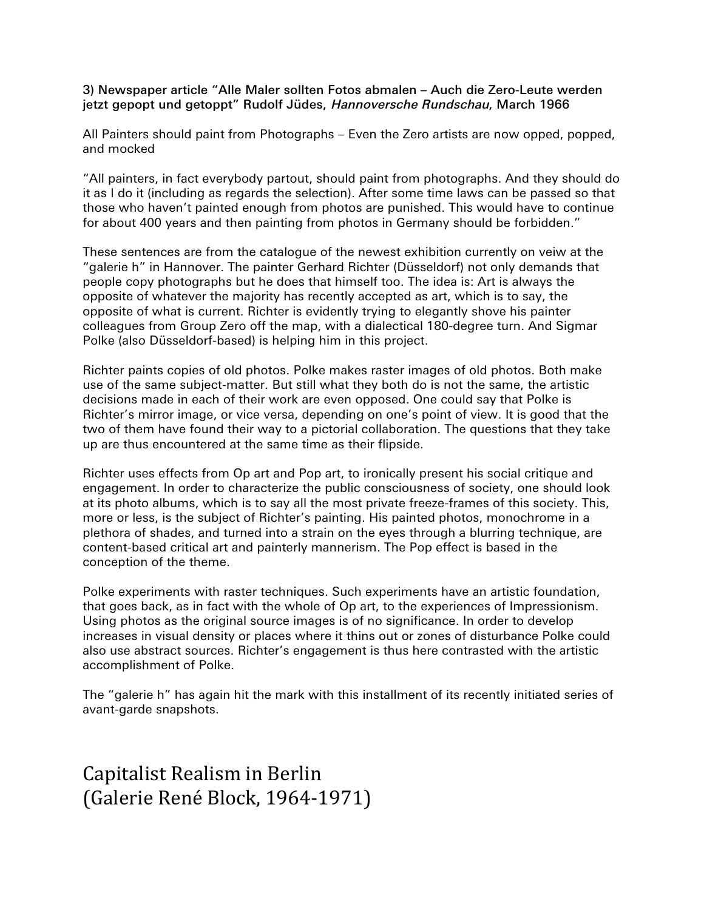#### 3) Newspaper article "Alle Maler sollten Fotos abmalen – Auch die Zero-Leute werden jetzt gepopt und getoppt" Rudolf Jüdes, Hannoversche Rundschau, March 1966

All Painters should paint from Photographs – Even the Zero artists are now opped, popped, and mocked

"All painters, in fact everybody partout, should paint from photographs. And they should do it as I do it (including as regards the selection). After some time laws can be passed so that those who haven't painted enough from photos are punished. This would have to continue for about 400 years and then painting from photos in Germany should be forbidden."

These sentences are from the catalogue of the newest exhibition currently on veiw at the "galerie h" in Hannover. The painter Gerhard Richter (Düsseldorf) not only demands that people copy photographs but he does that himself too. The idea is: Art is always the opposite of whatever the majority has recently accepted as art, which is to say, the opposite of what is current. Richter is evidently trying to elegantly shove his painter colleagues from Group Zero off the map, with a dialectical 180-degree turn. And Sigmar Polke (also Düsseldorf-based) is helping him in this project.

Richter paints copies of old photos. Polke makes raster images of old photos. Both make use of the same subject-matter. But still what they both do is not the same, the artistic decisions made in each of their work are even opposed. One could say that Polke is Richter's mirror image, or vice versa, depending on one's point of view. It is good that the two of them have found their way to a pictorial collaboration. The questions that they take up are thus encountered at the same time as their flipside.

Richter uses effects from Op art and Pop art, to ironically present his social critique and engagement. In order to characterize the public consciousness of society, one should look at its photo albums, which is to say all the most private freeze-frames of this society. This, more or less, is the subject of Richter's painting. His painted photos, monochrome in a plethora of shades, and turned into a strain on the eyes through a blurring technique, are content-based critical art and painterly mannerism. The Pop effect is based in the conception of the theme.

Polke experiments with raster techniques. Such experiments have an artistic foundation, that goes back, as in fact with the whole of Op art, to the experiences of Impressionism. Using photos as the original source images is of no significance. In order to develop increases in visual density or places where it thins out or zones of disturbance Polke could also use abstract sources. Richter's engagement is thus here contrasted with the artistic accomplishment of Polke.

The "galerie h" has again hit the mark with this installment of its recently initiated series of avant-garde snapshots.

Capitalist Realism in Berlin (Galerie René Block, 1964-1971)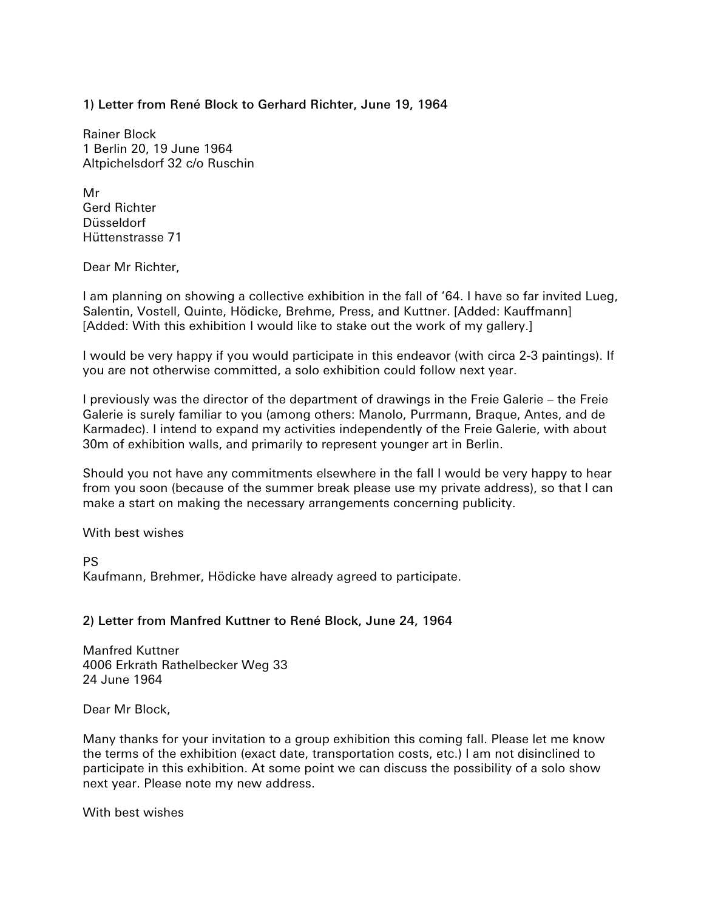#### 1) Letter from René Block to Gerhard Richter, June 19, 1964

Rainer Block 1 Berlin 20, 19 June 1964 Altpichelsdorf 32 c/o Ruschin

Mr Gerd Richter Düsseldorf Hüttenstrasse 71

Dear Mr Richter,

I am planning on showing a collective exhibition in the fall of '64. I have so far invited Lueg, Salentin, Vostell, Quinte, Hödicke, Brehme, Press, and Kuttner. [Added: Kauffmann] [Added: With this exhibition I would like to stake out the work of my gallery.]

I would be very happy if you would participate in this endeavor (with circa 2-3 paintings). If you are not otherwise committed, a solo exhibition could follow next year.

I previously was the director of the department of drawings in the Freie Galerie – the Freie Galerie is surely familiar to you (among others: Manolo, Purrmann, Braque, Antes, and de Karmadec). I intend to expand my activities independently of the Freie Galerie, with about 30m of exhibition walls, and primarily to represent younger art in Berlin.

Should you not have any commitments elsewhere in the fall I would be very happy to hear from you soon (because of the summer break please use my private address), so that I can make a start on making the necessary arrangements concerning publicity.

With best wishes

PS

Kaufmann, Brehmer, Hödicke have already agreed to participate.

#### 2) Letter from Manfred Kuttner to René Block, June 24, 1964

Manfred Kuttner 4006 Erkrath Rathelbecker Weg 33 24 June 1964

Dear Mr Block,

Many thanks for your invitation to a group exhibition this coming fall. Please let me know the terms of the exhibition (exact date, transportation costs, etc.) I am not disinclined to participate in this exhibition. At some point we can discuss the possibility of a solo show next year. Please note my new address.

With best wishes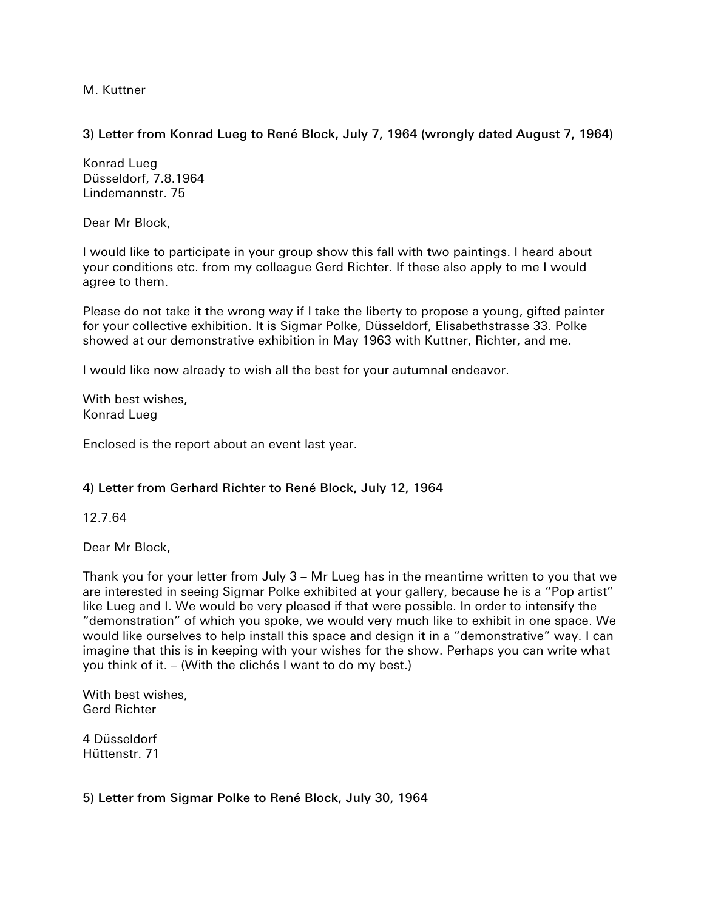M. Kuttner

3) Letter from Konrad Lueg to René Block, July 7, 1964 (wrongly dated August 7, 1964)

Konrad Lueg Düsseldorf, 7.8.1964 Lindemannstr. 75

Dear Mr Block,

I would like to participate in your group show this fall with two paintings. I heard about your conditions etc. from my colleague Gerd Richter. If these also apply to me I would agree to them.

Please do not take it the wrong way if I take the liberty to propose a young, gifted painter for your collective exhibition. It is Sigmar Polke, Düsseldorf, Elisabethstrasse 33. Polke showed at our demonstrative exhibition in May 1963 with Kuttner, Richter, and me.

I would like now already to wish all the best for your autumnal endeavor.

With best wishes, Konrad Lueg

Enclosed is the report about an event last year.

## 4) Letter from Gerhard Richter to René Block, July 12, 1964

12.7.64

Dear Mr Block,

Thank you for your letter from July 3 – Mr Lueg has in the meantime written to you that we are interested in seeing Sigmar Polke exhibited at your gallery, because he is a "Pop artist" like Lueg and I. We would be very pleased if that were possible. In order to intensify the "demonstration" of which you spoke, we would very much like to exhibit in one space. We would like ourselves to help install this space and design it in a "demonstrative" way. I can imagine that this is in keeping with your wishes for the show. Perhaps you can write what you think of it. – (With the clichés I want to do my best.)

With best wishes, Gerd Richter

4 Düsseldorf Hüttenstr. 71

5) Letter from Sigmar Polke to René Block, July 30, 1964